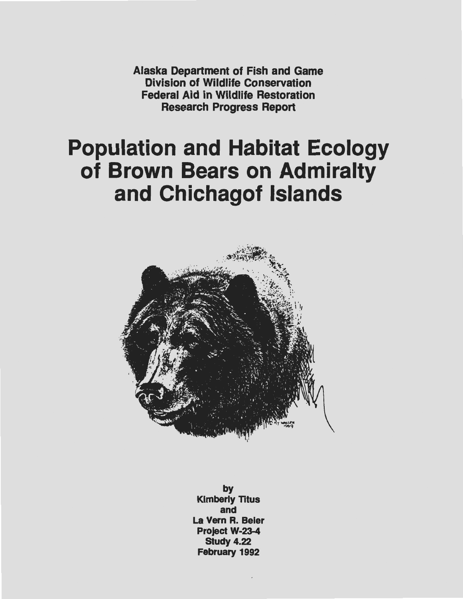Alaska Department of Fish and Game Division of Wildlife Conservation Federal Aid in Wildlife Restoration Research Progress Report

# Population and Habitat Ecology of Brown Bears on Admiralty and Chichagof Islands



by Kimberly Titus and La Vern R. Beier Project W-23-4 Study 4.22 February 1992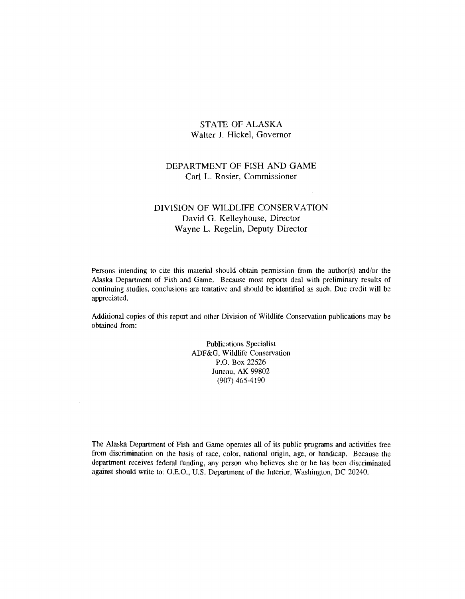# STATE OF ALASKA Walter J. Hickel, Governor

# DEPARTMENT OF FISH AND GAME Carl L. Rosier, Commissioner

# DIVISION OF WILDLIFE CONSERVATION David G. Kelleyhouse, Director Wayne L. Regelin, Deputy Director

Persons intending to cite this material should obtain permission from the author(s) and/or the Alaska Department of Fish and Game. Because most reports deal with preliminary results of continuing studies, conclusions are tentative and should be identified as such. Due credit will be appreciated.

Additional copies of this report and other Division of Wildlife Conservation publications may be obtained from:

> Publications Specialist ADF&G, Wildlife Conservation P.O. Box 22526 Juneau, AK 99802 (907) 465-4190

The Alaska Department of Fish and Game operates all of its public programs and activities free from discrimination on the basis of race, color, national origin, age, or handicap. Because the department receives federal funding, any person who believes she or he has been discriminated against should write to: O.E.O., U.S. Department of the Interior, Washington, DC 20240.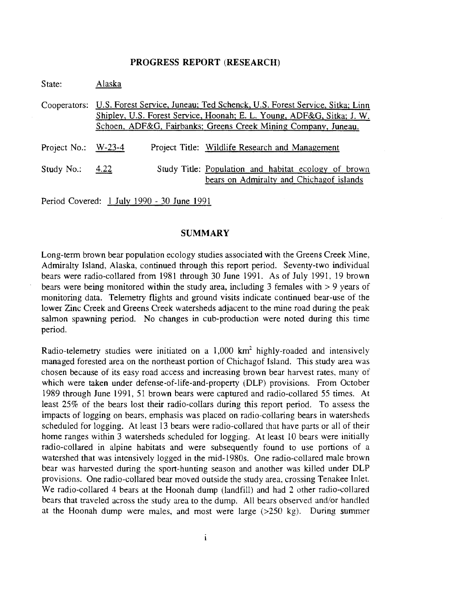#### **PROGRESS REPORT (RESEARCH)**

| State:                | Alaska                                     |  |                                                                                                                                                                                                                        |  |  |  |  |  |  |
|-----------------------|--------------------------------------------|--|------------------------------------------------------------------------------------------------------------------------------------------------------------------------------------------------------------------------|--|--|--|--|--|--|
| Cooperators:          |                                            |  | U.S. Forest Service, Juneau; Ted Schenck, U.S. Forest Service, Sitka; Linn<br>Shipley, U.S. Forest Service, Hoonah; E. L. Young, ADF&G, Sitka; J. W.<br>Schoen, ADF&G, Fairbanks; Greens Creek Mining Company, Juneau. |  |  |  |  |  |  |
| Project No.: $W-23-4$ |                                            |  | Project Title: Wildlife Research and Management                                                                                                                                                                        |  |  |  |  |  |  |
| Study No.: $4.22$     |                                            |  | Study Title: Population and habitat ecology of brown<br>bears on Admiralty and Chichagof islands                                                                                                                       |  |  |  |  |  |  |
|                       | Period Covered: 1 July 1990 - 30 June 1991 |  |                                                                                                                                                                                                                        |  |  |  |  |  |  |

# **SUMMARY**

Long-term brown bear population ecology studies associated with the Greens Creek Mine, Admiralty Island, Alaska, continued through this report period. Seventy-two individual bears were radio-collared from 1981 through 30 June 1991. As of July 1991, 19 brown bears were being monitored within the study area, including 3 females with > 9 years of monitoring data. Telemetry flights and ground visits indicate continued bear-use of the lower Zinc Creek and Greens Creek watersheds adjacent to the mine road during the peak salmon spawning period. No changes in cub-production were noted during this time period.

Radio-telemetry studies were initiated on a  $1,000$  km<sup>2</sup> highly-roaded and intensively managed forested area on the northeast portion of Chichagof Island. This study area was chosen because of its easy road access and increasing brown bear harvest rates, many of which were taken under defense-of-life-and-property (DLP) provisions. From October 1989 through June 1991, 51 brown bears were captured and radio-collared 55 times. At least 25% of the bears lost their radio-collars during this report period. To assess the impacts of logging on bears, emphasis was placed on radio-collaring bears in watersheds scheduled for logging. At least 13 bears were radio-collared that have parts or all of their home ranges within 3 watersheds scheduled for logging. At least 10 bears were initially radio-collared in alpine habitats and were subsequently found to use portions of a watershed that was intensively logged in the mid-l980s. One radio-collared male brown bear was harvested during the sport-hunting season and another was killed under DLP provisions. One radio-collared bear moved outside the study area, crossing Tenakee Inlet. We radio-collared 4 bears at the Hoonah dump (landfill) and had 2 other radio-collared bears that traveled across the study area to the dump. All bears observed and/or handled at the Hoonah dump were males, and most were large (>250 kg). During summer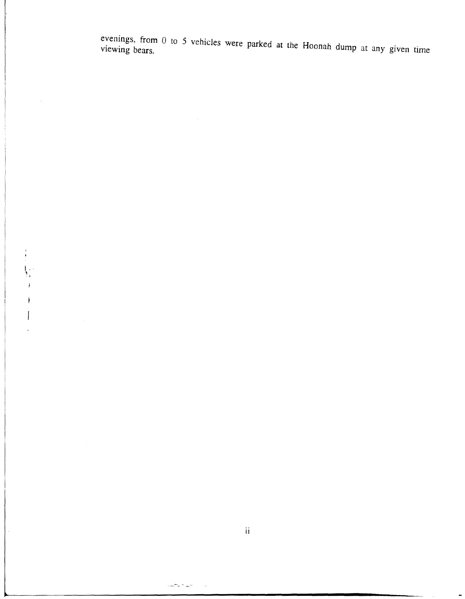evenings, from 0 to 5 vehicles were parked at the Hoonah dump at any given time viewing bears.

II

المهاج والمست

I,

 $\mathcal{L}$ 

 $\frac{1}{\sqrt{2}}$ 

 $\overline{)}$ 

 $\overline{1}$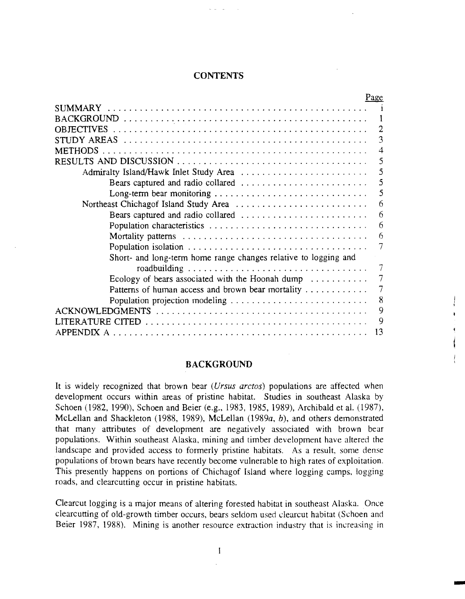# **CONTENTS**

| Page                                                                 |    |
|----------------------------------------------------------------------|----|
| <b>SUMMARY</b>                                                       |    |
|                                                                      |    |
| OB JECTIVES                                                          |    |
| STUDY AREAS                                                          | 3  |
| METHODS                                                              | 4  |
|                                                                      | 5  |
|                                                                      | 5  |
|                                                                      | 5  |
| Long-term bear monitoring                                            | 5  |
| Northeast Chichagof Island Study Area                                | 6  |
| Bears captured and radio collared                                    | 6  |
|                                                                      | 6  |
|                                                                      | 6  |
|                                                                      |    |
| Short- and long-term home range changes relative to logging and      |    |
|                                                                      |    |
| Ecology of bears associated with the Hoonah dump $\dots \dots \dots$ |    |
| Patterns of human access and brown bear mortality                    |    |
| Population projection modeling                                       | 8  |
|                                                                      | 9  |
|                                                                      | 9  |
| APPENDIX A                                                           | 13 |

## **BACKGROUND**

It is widely recognized that brown bear *(Ursus arctos)* populations are affected when development occurs within areas of pristine habitat. Studies in southeast Alaska by Schoen (1982, 1990), Schoen and Beier (e.g., 1983, 1985, 1989), Archibald et al. (1987), McLellan and Shackleton (1988, 1989), McLellan (1989a, b), and others demonstrated that many attributes of development are negatively associated with brown bear landscape and provided access to formerly pristine habitats. As a result, some dense populations of.brown bears have recently become vulnerable to high rates of exploitation. This presently happens on portions of Chichagof Island where logging camps, logging roads, and clearcutting occur in pristine habitats. populations. Within southeast Alaska, mining and timber development have altered the

Clearcut logging is a major means of altering forested habitat in southeast Alaska. Once clearcutting of old-growth timber occurs, bears seldom used clearcut habitat (Schoen and Beier 1987, 1988). Mining is another resource extraction industry that is increasing in

-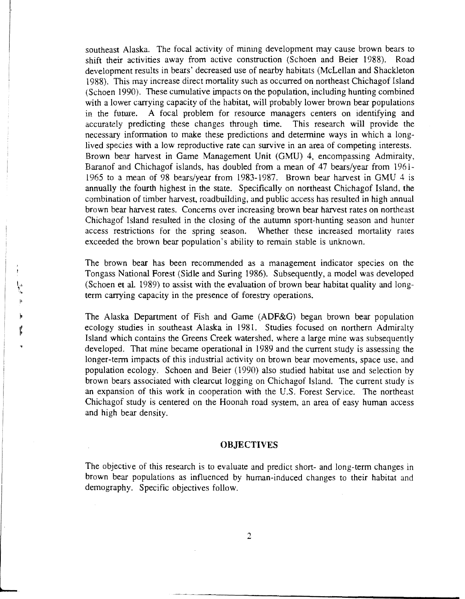southeast Alaska. The focal activity of mining development may cause brown bears to shift their activities away from active construction (Schoen and Beier 1988). Road development results in bears' decreased use of nearby habitats (McLellan and Shackleton 1988). This may increase direct mortality such as occurred on northeast Chichagof Island (Schoen 1990). These cumulative impacts on the population, including hunting combined with a lower carrying capacity of the habitat, will probably lower brown bear populations in the future. A focal problem for resource managers centers on identifying and accurately predicting these changes through time. This research will provide the necessary information to make these predictions and determine ways in which a longlived species with a low reproductive rate can survive in an area of competing interests. Brown bear harvest in Game Management Unit (GMU) 4, encompassing Admiralty, Baranof and Chichagof islands, has doubled from a mean of 47 bears/year from 1961 1965 to a mean of 98 bears/year from 1983-1987. Brown bear harvest in GMU 4 is annually the fourth highest in the state. Specifically on northeast Chichagof Island, the combination of timber harvest, roadbuilding, and public access has resulted in high annual brown bear harvest rates. Concerns over increasing brown bear harvest rates on northeast Chichagof Island resulted in the closing of the autumn sport-hunting season and hunter access restrictions for the spring season. Whether these increased mortality rates exceeded the brown bear population's ability to remain stable is unknown.

The brown bear has been recommended as a management indicator species on the Tongass National Forest (Sidle and Suring 1986). Subsequently, a model was developed (Schoen et al. 1989) to assist with the evaluation of brown bear habitat quality and longterm carrying capacity in the presence of forestry operations.

The Alaska Department of Fish and Game (ADF&G) began brown bear population ecology studies in southeast Alaska in 1981. Studies focused on northern Admiralty Island which contains the Greens Creek watershed, where a large mine was subsequently developed. That mine became operational in 1989 and the current study is assessing the longer-term impacts of this industrial activity on brown bear movements, space use, and population ecology. Schoen and Beier (1990) also studied habitat use and selection by brown bears associated with clearcut logging on Chichagof Island. The current study is an expansion of this work in cooperation with the U.S. Forest Service. The northeast Chichagof study is centered on the Hoonah road system, an area of easy human access and high bear density.

 $\mathbf{f}$ 

# **OBJECTIVES**

The objective of this research is to evaluate and predict short- and long-term changes in brown bear populations as influenced by human-induced changes to their habitat and demography. Specific objectives follow.

 $\overline{2}$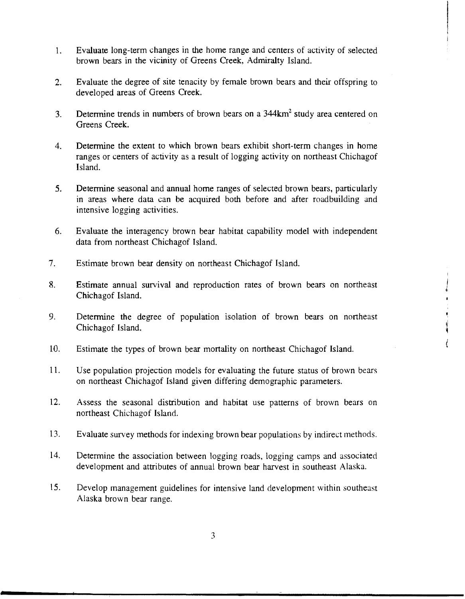- 1. Evaluate long-term changes in the home range and centers of activity of selected brown bears in the vicinity of Greens Creek, Admiralty Island.
- 2. Evaluate the degree of site tenacity by female brown bears and their offspring to developed areas of Greens Creek.
- 3. Determine trends in numbers of brown bears on a  $344 \text{km}^2$  study area centered on Greens Creek.
- 4. Determine the extent to which brown bears exhibit short-term changes in home ranges or centers of activity as a result of logging activity on northeast Chichagof Island.
- 5. Determine seasonal and annual home ranges of selected brown bears, particularly in areas where data can be acquired both before and after roadbuilding and intensive logging activities.
- 6. Evaluate the interagency brown bear habitat capability model with independent data from northeast Chichagof Island.
- 7. Estimate brown bear density on northeast Chichagof Island.
- 8. Estimate annual survival and reproduction rates of brown bears on northeast Chichagof Island.
- 9. Determine the degree of population isolation of brown bears on northeast Chichagof Island.
- 10. Estimate the types of brown bear mortality on northeast Chichagof Island.
- 11. Use population projection models for evaluating the future status of brown bears on northeast Chichagof Island given differing demographic parameters.
- 12. Assess the seasonal distribution and habitat use patterns of brown bears on northeast Chichagof Island.
- 13. Evaluate survey methods for indexing brown bear populations by indirect methods.
- 14. Determine the association between logging roads, logging camps and associated development and attributes of annual brown bear harvest in southeast Alaska.
- 15. Develop management guidelines for intensive land development within southeast Alaska brown bear range.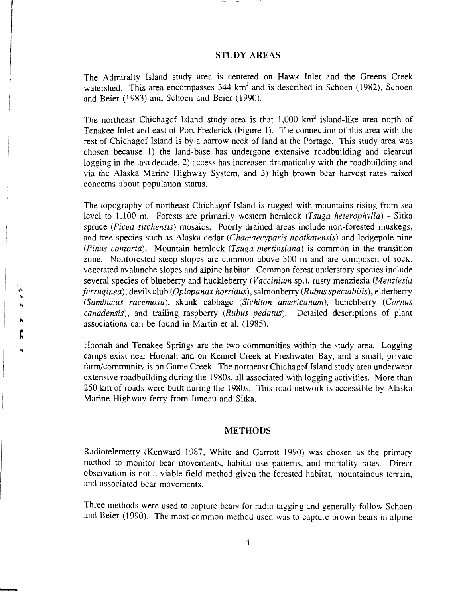# **STUDY AREAS**

The Admiralty Island study area is centered on Hawk Inlet and the Greens Creek watershed. This area encompasses  $344 \text{ km}^2$  and is described in Schoen (1982), Schoen and Beier (1983) and Schoen and Beier (1990).

The northeast Chichagof Island study area is that  $1,000$  km<sup>2</sup> island-like area north of Tenakee Inlet and east of Port Frederick (Figure **1).** The connection of this area with the rest of Chichagof Island is by a narrow neck of land at the Portage. This study area was chosen because 1) the land-base has undergone extensive roadbuilding and clearcut logging in the last decade, 2) access has increased dramatically with the roadbuilding and via the Alaska Marine Highway System, and 3) high brown bear harvest rates raised concerns about population status.

The topography of northeast Chichagof Island is rugged with mountains rising from sea level to 1,100 m. Forests are primarily western hemlock *(Tsuga heterophylla)* - Sitka spruce *(Picea sitchensis)* mosaics. Poorly drained areas include non-forested muskegs, and tree species such as Alaska cedar *(Chamaecyparis nootkatensis)* and lodgepole pine *(Pinus contorta).* Mountain hemlock *(Tsuga mertinsiana)* is common in the transition zone. Nonforested steep slopes are common above 300 m and are composed of rock. vegetated avalanche slopes and alpine habitat Common forest understory species include several species of blueberry and huckleberry *(Vaccinium* sp.), rusty menziesia *(Menziesia ferruginea),* devils club *(Oplopanax horridus),* salmonberry *(Rubus spectabilis),* elderberry *(Sambucus racemosa),* skunk cabbage *(Sichiton americanum),* bunchberry *(Comus canadensis),* and trailing raspberry *(Rubus pedatus).* Detailed descriptions of plant associations can be found in Martin et al. (1985).

Hoonah and Tenakee Springs are the two communities within the study area. Logging camps exist near Hoonah and on Kennel Creek at Freshwater Bay, and a small, private farm/community is on Game Creek. The northeast Chichagof Island study area underwent extensive roadbuilding during the 1980s, all associated with logging activities. More than 250 km of roads were built during the 1980s. This road network is accessible by Alaska Marine Highway ferry from Juneau and Sitka.

#### **METHODS**

Radiotelemetry (Kenward 1987, White and Garrott 1990) was chosen as the primary method to monitor bear movements, habitat use patterns, and mortality rates. Direct observation is not a viable field method given the forested habitat, mountainous terrain, and associated bear movements.

Three methods were used to capture bears for radio tagging and generally follow Schoen and Beier ( 1990). The most common method used was to capture brown bears in alpine

-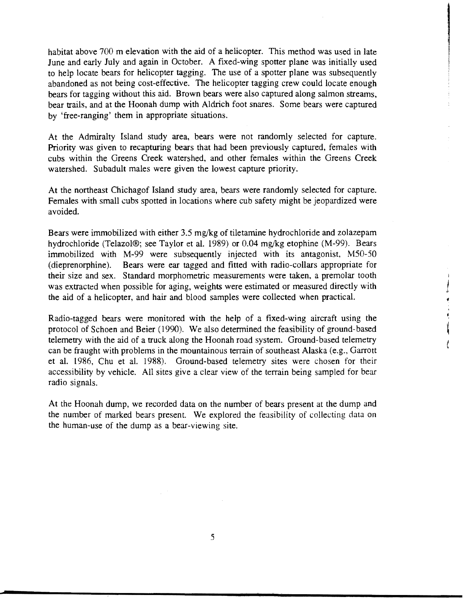habitat above 700 m elevation with the aid of a helicopter. This method was used in late June and early July and again in October. A fixed-wing spotter plane was initially used to help locate bears for helicopter tagging. The use of a spotter plane was subsequently abandoned as not being cost-effective. The helicopter tagging crew could locate enough bears for tagging without this aid. Brown bears were also captured along salmon streams, bear trails, and at the Hoonah dump with Aldrich foot snares. Some bears were captured by 'free-ranging' them in appropriate situations.

At the Admiralty Island study area, bears were not randomly selected for capture. Priority was given to recapturing bears that had been previously captured, females with cubs within the Greens Creek watershed, and other females within the Greens Creek watershed. Subadult males were given the lowest capture priority.

At the northeast Chichagof Island study area, bears were randomly selected for capture. Females with small cubs spotted in locations where cub safety might be jeopardized were avoided.

Bears were immobilized with either 3.5 mg/kg of tiletamine hydrochloride and zolazepam hydrochloride (Telazol®; see Taylor et al. 1989) or  $0.04$  mg/kg etophine (M-99). Bears immobilized with M-99 were subsequently injected with its antagonist, M50-50 ( dieprenorphine ). Bears were ear tagged and fitted with radio-collars appropriate for their size and sex. Standard morphometric measurements were taken, a premolar tooth was extracted when possible for aging, weights were estimated or measured directly with the aid of a helicopter, and hair and blood samples were collected when practical.

I *1* 

Radio-tagged bears were monitored with the help of a fixed-wing aircraft using the protocol of Schoen and Beier (1990). We also determined the feasibility of ground-based telemetry with the aid of a truck along the Hoonah road system. Ground-based telemetry can be fraught with problems in the mountainous terrain of southeast Alaska (e.g., Garrott et al. 1986, Chu et al. 1988). Ground-based telemetry sites were chosen for their accessibility by vehicle. All sites give a clear view of the terrain being sampled for bear radio signals.

At the Hoonah dump, we recorded data on the number of bears present at the dump and the number of marked bears present. We explored the feasibility of collecting data on the human-use of the dump as a bear-viewing site.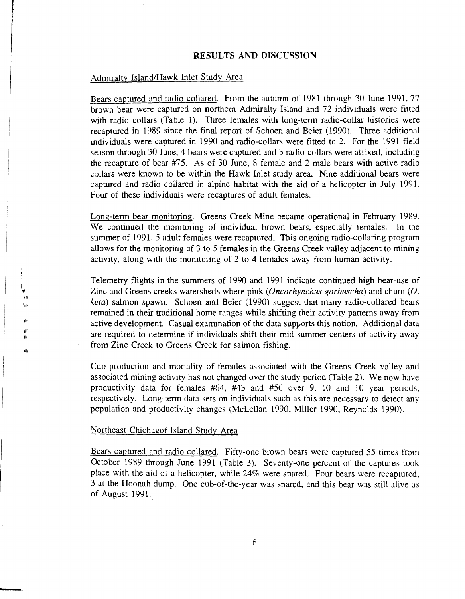## **RESULTS AND DISCUSSION**

# Admiralty Island/Hawk Inlet Study Area

Bears captured and radio collared. From the autumn of 1981 through 30 June 1991, 77 brown bear were captured on northern Admiralty Island and 72 individuals were fitted with radio collars (Table 1). Three females with long-term radio-collar histories were recaptured in 1989 since the final report of Schoen and Beier (1990). Three additional individuals were captured in 1990 and radio-collars were fitted to 2. For the 1991 field season through 30 June, 4 bears were captured and 3 radio-collars were affixed, including the recapture of bear #75. As of 30 June, 8 female and 2 male bears with active radio collars were known to be within the Hawk Inlet study area. Nine additional bears were captured and radio collared in alpine habitat with the aid of a helicopter in July 1991. Four of these individuals were recaptures of adult females.

Long-term bear monitoring. Greens Creek Mine became operational in February 1989. We continued the monitoring of individual brown bears, especially females. In the summer of 1991, 5 adult females were recaptured. This ongoing radio-collaring program allows for the monitoring of 3 to 5 females in the Greens Creek valley adjacent to mining activity, along with the monitoring of 2 to 4 females away from human activity.

Telemetry flights in the summers of 1990 and 1991 indicate continued high bear-use of Zinc and Greens creeks watersheds where pink (Oncorhynchus gorbuscha) and chum  $(O.$ *keta)* salmon spawn. Schoen and Beier (1990) suggest that many radio-collared bears remained in their traditional home ranges while shifting their activity patterns away from active development. Casual examination of the data supports this notion. Additional data are required to determine if individuals shift their mid-summer centers of activity away from Zinc Creek to Greens Creek for salmon fishing.

Cub production and mortality of females associated with the Greens Creek valley and associated mining activity has not changed over the study period (Table 2). We now have productivity data for females #64, #43 and #56 over 9, 10 and 10 year periods, respectively. Long-term data sets on individuals such as this are necessary to detect any population and productivity changes (McLellan 1990, Miller 1990, Reynolds 1990).

## Northeast Chichagof Island Study Area

Bears captured and radio collared. Fifty-one brown bears were captured 55 times from October 1989 through June 1991 (Table 3). Seventy-one percent of the captures took place with the aid of a helicopter, while 24% were snared. Four bears were recaptured, 3 at the Hoonah dump. One cub-of-the-year was snared, and this bear was still alive as of August 1991.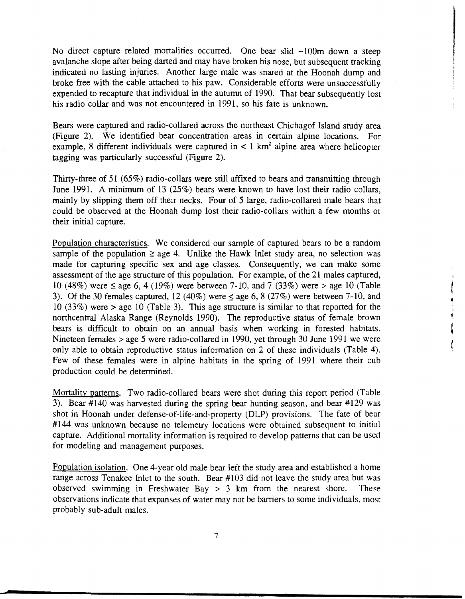No direct capture related mortalities occurred. One bear slid  $\sim 100$ m down a steep avalanche slope after being darted and may have broken his nose, but subsequent tracking indicated no lasting injuries. Another large male was snared at the Hoonah dump and broke free with the cable attached to his paw. Considerable efforts were unsuccessfully expended to recapture that individual in the autumn of 1990. That bear subsequently lost his radio collar and was not encountered in 1991, so his fate is unknown.

Bears were captured and radio-collared across the northeast Chichagof Island study area (Figure 2). We identified bear concentration areas in certain alpine locations. For example, 8 different individuals were captured in  $\lt 1$  km<sup>2</sup> alpine area where helicopter tagging was particularly successful (Figure 2).

Thirty-three of 51 (65%) radio-collars were still affixed to bears and transmitting through June 1991. A minimum of 13 (25%) bears were known to have lost their radio collars, mainly by slipping them off their necks. Four of 5 large, radio-collared male bears that could be observed at the Hoonah dump lost their radio-collars within a few months of their initial capture.

Population characteristics. We considered our sample of captured bears to be a random sample of the population  $\ge$  age 4. Unlike the Hawk Inlet study area, no selection was made for capturing specific sex and age classes. Consequently, we can make some assessment of the age structure of this population. For example, of the 21 males captured, 10 (48%) were  $\leq$  age 6, 4 (19%) were between 7-10, and 7 (33%) were  $>$  age 10 (Table 3). Of the 30 females captured, 12 (40%) were  $\leq$  age 6, 8 (27%) were between 7-10, and 10 (33%) were > age 10 (Table 3). This age structure is similar to that reported for the northcentral Alaska Range (Reynolds 1990). The reproductive status of female brown bears is difficult to obtain on an annual basis when working in forested habitats. Nineteen females > age 5 were radio-collared in 1990, yet through 30 June 1991 we were only able to obtain reproductive status information on 2 of these individuals (Table 4). Few of these females were in alpine habitats in the spring of 1991 where their cub production could be determined.

I I! I! I

Mortality patterns. Two radio-collared bears were shot during this report period (Table 3). Bear #140 was harvested during the spring bear hunting season, and bear #129 was shot in Hoonah under defense-of-life-and-property (DLP) provisions. The fate of bear #144 was unknown because no telemetry locations were obtained subsequent to initial capture. Additional mortality information is required to develop patterns that can be used for modeling and management purposes.

Population isolation. One 4-year old male bear left the study area and established a home range across Tenakee Inlet to the south. Bear #103 did not leave the study area but was observed swimming in Freshwater Bay  $> 3$  km from the nearest shore. These observations indicate that expanses of water may not be barriers to some individuals, most probably sub-adult males.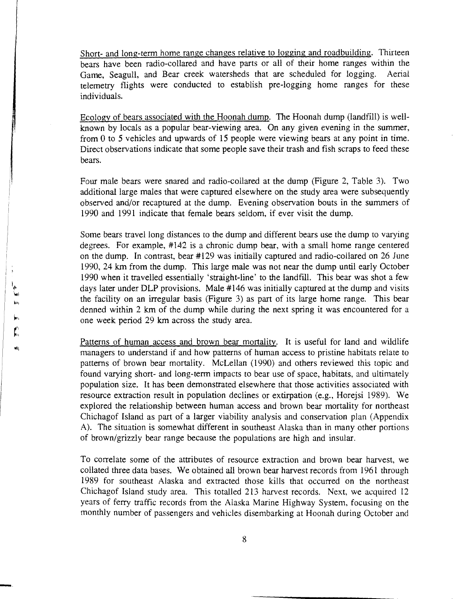Short- and long-term home range changes relative to logging and roadbuilding. Thirteen bears have been radio-collared and have parts or all of their home ranges within the Game, Seagull, and Bear creek watersheds that are scheduled for logging. Aerial telemetry flights were conducted to establish pre-logging home ranges for these individuals.

Ecology of bears associated with the Hoonah dump. The Hoonah dump (landfill) is wellknown by locals as a popular bear-viewing area. On any given evening in the summer, from 0 to 5 vehicles and upwards of 15 people were viewing bears at any point in time. Direct observations indicate that some people save their trash and fish scraps to feed these bears.

Four male bears were snared and radio-collared at the dump (Figure 2, Table 3). Two additional large males that were captured elsewhere on the study area were subsequently observed and/or recaptured at the dump. Evening observation bouts in the summers of 1990 and 1991 indicate that female bears seldom, if ever visit the dump.

Some bears travel long distances to the dump and different bears use the dump to varying degrees. For example, #142 is a chronic dump bear, with a small home range centered on the dump. In contrast, bear #129 was initially captured and radio-collared on 26 June 1990, 24 km from the dump. This large male was not near the dump until early October 1990 when it travelled essentially 'straight-line' to the landfill. This bear was shot a few days later under DLP provisions. Male #146 was initially captured at the dump and visits the facility on an irregular basis (Figure 3) as part of its large home range. This bear denned within 2 km of the dump while during the next spring it was encountered for a one week period 29 km across the study area.

Patterns of human access and brown bear mortality. It is useful for land and wildlife managers to understand if and how patterns of human access to pristine habitats relate to patterns of brown bear mortality. McLellan (1990) and others reviewed this topic and found varying short- and long-term impacts to bear use of space, habitats, and ultimately population size. It has been demonstrated elsewhere that those activities associated with resource extraction result in population declines or extirpation (e.g., Horejsi 1989). We explored the relationship between human access and brown bear mortality for northeast Chichagof Island as part of a larger viability analysis and conservation plan (Appendix A). The situation is somewhat different in southeast Alaska than in many other portions of brown/grizzly bear range because the populations are high and insular.

To correlate some of the attributes of resource extraction and brown bear harvest, we collated three data bases. We obtained all brown bear harvest records from 1961 through 1989 for southeast Alaska and extracted those kills that occurred on the northeast Chichagof Island study area. This totalled 213 harvest records. Next, we acquired 12 years of ferry traffic records from the Alaska Marine Highway System, focusing on the monthly number of passengers and vehicles disembarking at Hoonah during October and

-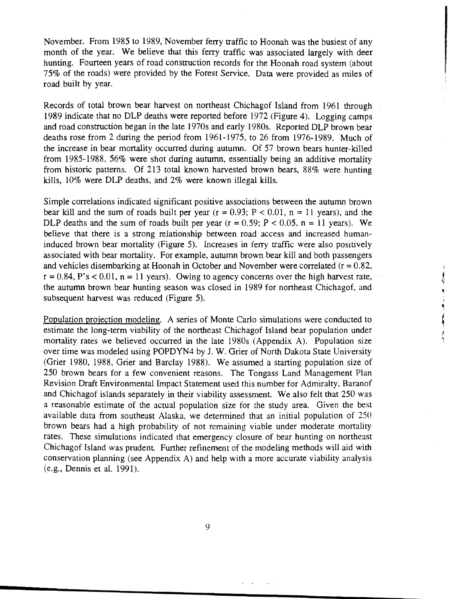November. From 1985 to 1989, November ferry traffic to Hoonah was the busiest of any month of the year. We believe that this ferry traffic was associated largely with deer hunting. Fourteen years of road construction records for the Hoonah road system (about 75% of the roads) were provided by the Forest Service. Data were provided as miles of road built by year.

Records of total brown bear harvest on northeast Chichagof Island from 1961 through 1989 indicate that no DLP deaths were reported before 1972 (Figure 4). Logging camps and road construction began in the late 1970s and early 1980s. Reported DLP brown bear deaths rose from 2 during the period from 1961-1975, to 26 from 1976-1989. Much of the increase in bear mortality occurred during autumn. Of 57 brown bears hunter-killed from 1985-1988, 56% were shot during autumn, essentially being an additive mortality from historic patterns. Of 213 total known harvested brown bears, 88% were hunting kills, 10% were DLP deaths, and 2% were known illegal kills.

Simple correlations indicated significant positive associations between the autumn brown bear kill and the sum of roads built per year  $(r = 0.93; P < 0.01, n = 11$  years), and the DLP deaths and the sum of roads built per year  $(r = 0.59; P < 0.05, n = 11$  years). We believe that there is a strong relationship between road access and increased humaninduced brown bear mortality (Figure 5). Increases in ferry traffic were also positively associated with bear mortality. For example, autumn brown bear kill and both passengers and vehicles disembarking at Hoonah in October and November were correlated  $(r = 0.82, r = 0.82)$  $r = 0.84$ , P's < 0.01,  $n = 11$  years). Owing to agency concerns over the high harvest rate, the autumn brown bear hunting season was closed in 1989 for northeast Chichagof, and subsequent harvest was reduced (Figure 5).

I

It

I ~

Population projection modeling. A series of Monte Carlo simulations were conducted to estimate the long-term viability of the northeast Chichagof Island bear population under mortality rates we believed occurred in the late 1980s (Appendix A). Population size over time was modeled using POPDYN4 by J. W. Grier of North Dakota State University (Grier 1980, 1988, Grier and Barclay 1988). We assumed a starting population size of 250 brown bears for a few convenient reasons. The Tongass Land Management Plan Revision Draft Environmental Impact Statement used this number for Admiralty, Baranof and Chichagof islands separately in their viability assessment. We also felt that 250 was a reasonable estimate of the actual population size for the study area. Given the best available data from southeast Alaska, we determined that an initial population of 250 brown bears had a high probability of not remaining viable under moderate mortality rates. These simulations indicated that emergency closure of bear hunting on northeast Chichagof Island was prudent. Further refinement of the modeling methods will aid with conservation planning (see Appendix A) and help with a more accurate viability analysis (e.g., Dennis et al. 1991).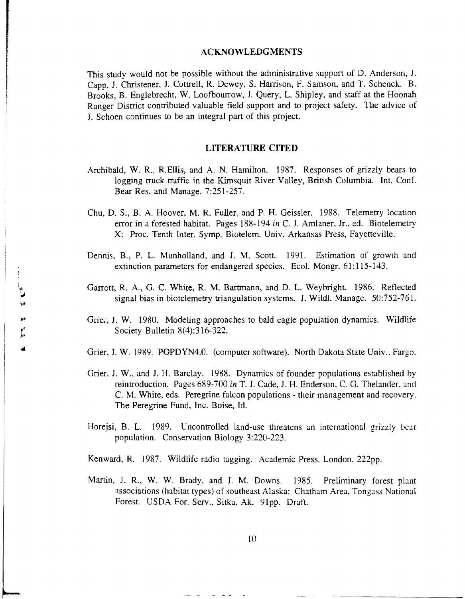# ACKNOWLEDGMENTS

This study would not be possible without the administrative support of D. Anderson, J. Capp, J. Christener, J. Cottrell, R. Dewey, S. Harrison, F. Samson, and T. Schenck. B. Brooks, B. Englebrecht, W. Loofbourrow, J. Query, L. Shipley, and staff at the Hoonah Ranger District contributed valuable field support and to project safety. The advice of J. Schoen continues to be an integral part of this project.

## LITERATURE CITED

- Archibald, W. R., R.Ellis, and A. N. Hamilton. 1987. Responses of grizzly bears to logging truck traffic in the Kimsquit River Valley, British Columbia. Int. Conf. Bear Res. and Manage. 7:251-257.
- Chu, D. S., B. A. Hoover, M. R. Fuller, and P. H. Geissler. 1988. Telemetry location error in a forested habitat. Pages 188-194 *in* C. J. Amlaner, Jr., ed. Biotelemetry X: Proc. Tenth Inter. Symp. Biotelem. Univ. Arkansas Press, Fayetteville.
- Dennis, B., P. L. Munholland, and J. M. Scott. 1991. Estimation of growth and extinction parameters for endangered species. Ecol. Mongr. 61:115-143.
- Garrott, R. A., G. C. White, R. M. Bartrnann, and D. L. Weybright. 1986: Reflected signal bias in biotelemetry triangulation systems. J. Wildl. Manage. 50:752-761.
- Grie:, J. W. 1980. Modeling approaches to bald eagle population dynamics. Wildlife Society Bulletin 8(4):316-322.
- Grier, J. W. 1989. POPDYN4.0. (computer software). North Dakota State Univ., Fargo.
- Grier, J. W., and J. H. Barclay. 1988. Dynamics of founder populations established by reintroduction. Pages 689-700 *in* T. J. Cade, J. H. Enderson, C. G. Thelander, and C. M. White, eds. Peregrine falcon populations- their management and recovery. The Peregrine Fund, Inc. Boise, Id.
- Horejsi, B. L. 1989. Uncontrolled land-use threatens an international grizzly bear population. Conservation Biology 3:220-223.

Kenward, R. 1987. Wildlife radio tagging. Academic Press. London. 222pp.

Martin, J. R., W. W. Brady, and J. M. Downs. 1985. Preliminary forest plant associations (habitat types) of southeast Alaska: Chatham Area. Tongass National Forest. USDA For. Serv., Sitka, Ak. 91pp. Draft.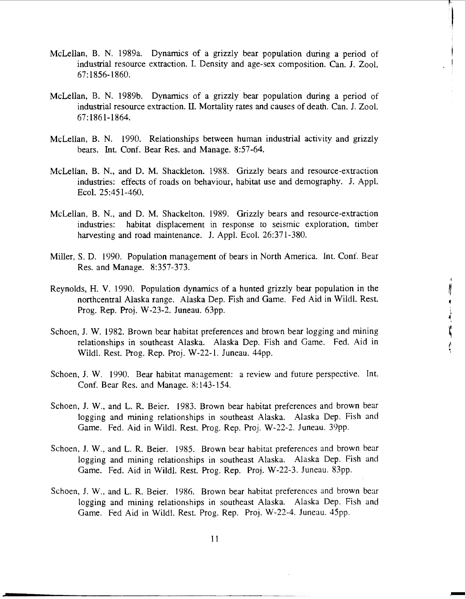- McLellan, B. N. 1989a. Dynamics of a grizzly bear population during a period of industrial resource extraction. I. Density and age-sex composition. Can. J. Zool. 67:1856-1860.
- McLellan, B. N. 1989b. Dynamics of a grizzly bear population during a period of industrial resource extraction. II. Mortality rates and causes of death. Can. J. Zool. 67:1861-1864.
- McLellan, B. N. 1990. Relationships between human industrial activity and grizzly bears. Int. Conf. Bear Res. and Manage. 8:57-64.
- McLellan, B. N., and D. M. Shackleton. 1988. Grizzly bears and resource-extraction industries: effects of roads on behaviour, habitat use and demography. J. Appl. Ecol. 25:451-460.
- McLellan, B. N., and D. M. Shackelton. 1989. Grizzly bears and resource-extraction industries: habitat displacement in response to seismic exploration, timber harvesting and road maintenance. J. Appl. Ecol. 26:371-380.
- Miller, S. D. 1990. Population management of bears in North America. Int. Conf. Bear Res. and Manage. 8:357-373.
- Reynolds, H. V. 1990. Population dynamics of a hunted grizzly bear population in the northcentral Alaska range. Alaska Dep. Fish and Game. Fed Aid in Wildl. Rest. Prog. Rep. Proj. W-23-2. Juneau. 63pp.
- Schoen, J. W. 1982. Brown bear habitat preferences and brown bear logging and mining relationships in southeast Alaska. Alaska Dep. Fish and Game. Fed. Aid in Wildl. Rest. Prog. Rep. Proj. W-22-1. Juneau. 44pp.
- Schoen, 1. W. 1990. Bear habitat management: a review and future perspective. Int. Conf. Bear Res. and Manage. 8:143-154.
- Schoen, J. W., and L. R. Beier. 1983. Brown bear habitat preferences and brown bear logging and mining relationships in southeast Alaska. Alaska Dep. Fish and Game. Fed. Aid in Wildl. Rest. Prog. Rep. Proj. W-22-2. Juneau. 39pp.
- Schoen, J. W., and L. R. Beier. 1985. Brown bear habitat preferences and brown bear logging and mining relationships in southeast Alaska. Alaska Dep. Fish and Game. Fed. Aid in Wildl. Rest. Prog. Rep. Proj. W-22-3. Juneau. 83pp.
- Schoen, J. W., and L. R. Beier. 1986. Brown bear habitat preferences and brown bear logging and mining relationships in southeast Alaska. Alaska Dep. Fish and Game. Fed Aid in Wildl. Rest. Prog. Rep. Proj. W-22-4. Juneau. 45pp.

1 1

..----------,----------------------

~ I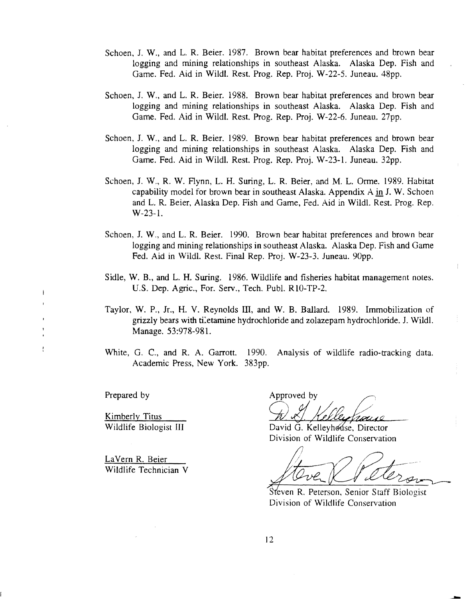- Schoen, J. W., and L. R. Beier. 1987. Brown bear habitat preferences and brown bear logging and mining relationships in southeast Alaska. Alaska Dep. Fish and Game. Fed. Aid in Wildl. Rest. Prog. Rep. Proj. W-22-5. Juneau. 48pp.
- Schoen, J. W., and L. R. Beier. 1988. Brown bear habitat preferences and brown bear logging and mining relationships in southeast Alaska. Alaska Dep. Fish and Game. Fed. Aid in Wildl. Rest. Prog. Rep. Proj. W-22-6. Juneau. 27pp.
- Schoen, J. W., and L. R. Beier. 1989. Brown bear habitat preferences and brown bear logging and mining relationships in southeast Alaska. Alaska Dep. Fish and Game. Fed. Aid in Wildl. Rest. Prog. Rep. Proj. W-23-1. Juneau. 32pp.
- Schoen, J. W., R. W. Flynn, L. H. Suring, L. R. Beier, and M. L. Orme. 1989. Habitat capability model for brown bear in southeast Alaska. Appendix A in J. W. Schoen and L. R. Beier, Alaska Dep. Fish and Game, Fed. Aid in Wildl. Rest. Prog. Rep. W-23-1.
- Schoen, J. W., and L. R. Beier. 1990. Brown bear habitat preferences and brown bear logging and mining relationships in southeast Alaska. Alaska Dep. Fish and Game Fed. Aid in Wildl. Rest. Final Rep. Proj. W-23-3. Juneau. 90pp.
- Sidle, W. B., and L. H. Suring. 1986. Wildlife and fisheries habitat management notes. U.S. Dep. Agric., For. Serv., Tech. PubL RlO-TP-2.
- Taylor, W. P., Jr., H. V. Reynolds Ill, and W. B. Ballard. 1989. Immobilization of grizzly bears with ti:etamine hydrochloride and zolazepam hydrochloride. J. Wildl. Manage. 53:978-981.
- White, G. C., and R. A. Garrott. 1990. Analysis of wildlife radio-tracking data. Academic Press, New York. 383pp.

Prepared by

 $\overline{1}$ 

 $\frac{1}{2}$ 

Kimberly Titus

La Vern R. Beier Wildlife Technician V

Approved by

Wildlife Biologist III David G. Kelleyhouse, Director Division of Wildlife Conservation

Steven R. Peterson, Senior Staff Biologist Division of Wildlife Conservation

12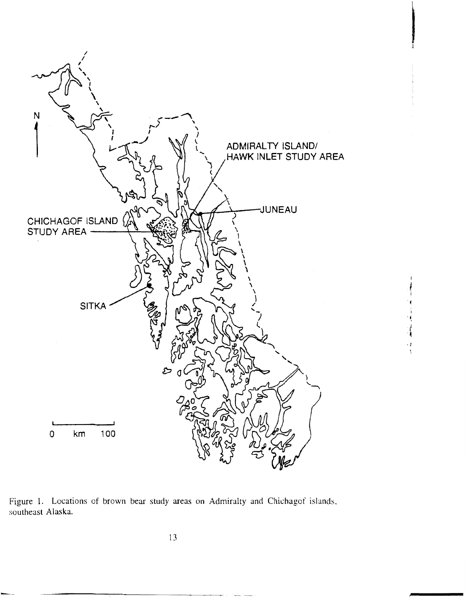

Figure 1. Locations of brown bear study areas on Admiralty and Chichagof islands, southeast Alaska.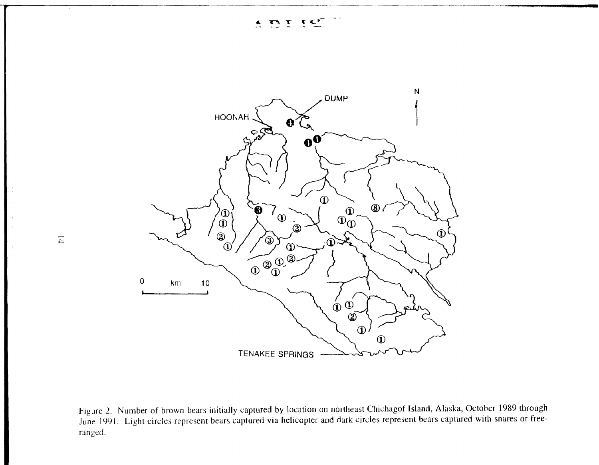

Figure 2. Number of brown bears initially captured by location on northeast Chichagof Island, Alaska, October 1989 through June 1991. Light circles represent bears captured via helicopter and dark circles represent bears captured with snares or freeranged.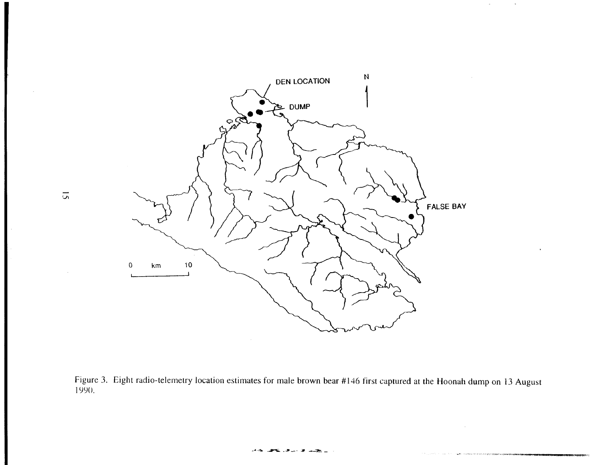

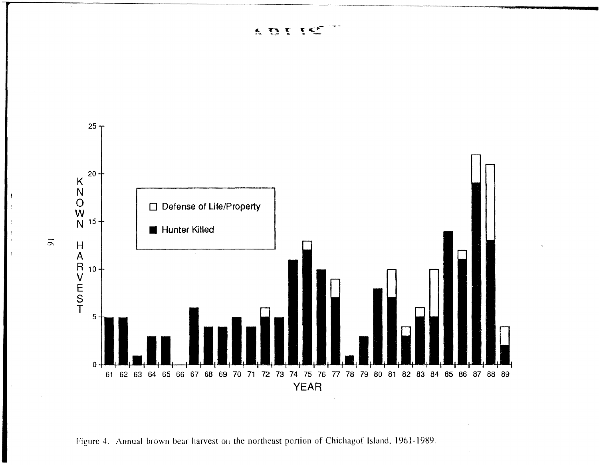ADI र द\*

~~- -----------



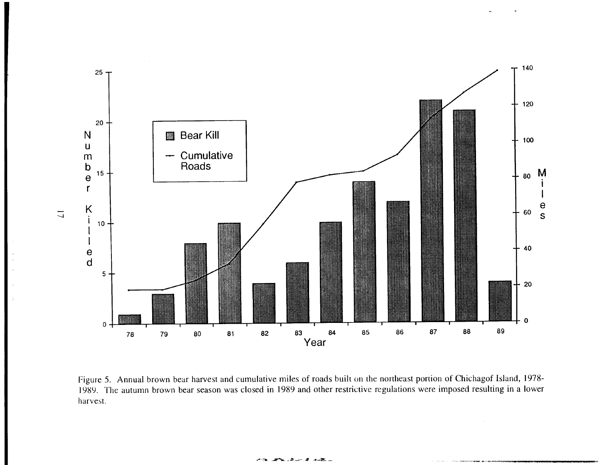

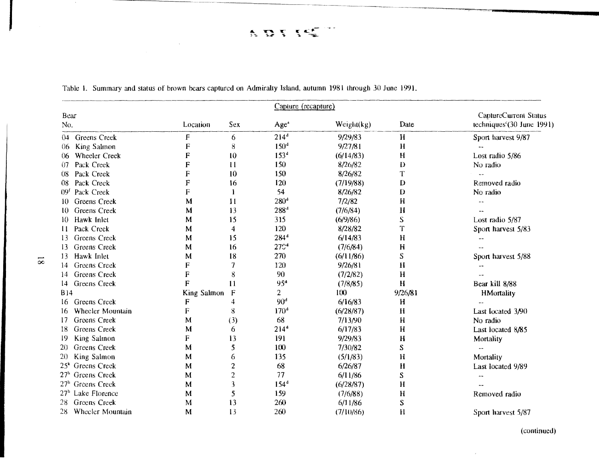$\ddot{ }$ ADISE

|                                  |             |                  | Capture (recapture) |            |              |                                        |
|----------------------------------|-------------|------------------|---------------------|------------|--------------|----------------------------------------|
| Bear                             |             |                  |                     |            |              | CaptureCurrent Status                  |
| No.                              | Location    | Sex              | Age <sup>a</sup>    | Weight(kg) | Date         | techniques <sup>c</sup> (30 June 1991) |
| <b>Greens Creek</b><br>04        | $\mathsf F$ | 6                | $214^d$             | 9/29/83    | H            | Sport harvest 9/87                     |
| King Salmon<br>06                | F           | 8                | 150 <sup>d</sup>    | 9/27/81    | $\mathbf H$  |                                        |
| Wheeler Creek<br>06.             | F           | 10               | $153^d$             | (6/14/83)  | H            | Lost radio 5/86                        |
| Pack Creek<br>07                 | F           | 11               | 150                 | 8/26/82    | D            | No radio                               |
| Pack Creek<br>08                 | F           | 10               | 150                 | 8/26/82    | T            |                                        |
| Pack Creek<br>08                 | F           | 16               | 120                 | (7/19/88)  | D            | Removed radio                          |
| Pack Creek<br>09 <sup>t</sup>    | F           | $\mathbf{1}$     | 54                  | 8/26/82    | $\mathbf{D}$ | No radio                               |
| <b>Greens</b> Creek<br>10        | M           | 11               | $280^4$             | 7/2/82     | H            |                                        |
| <b>Greens</b> Creek<br>10.       | M           | 13               | 288 <sup>d</sup>    | (7/6/84)   | $\mathbf H$  |                                        |
| Hawk Inlet<br>10.                | M           | 15               | 315                 | (6/9/86)   | ${\bf S}$    | Lost radio 5/87                        |
| Pack Creek<br>$\mathbf{11}$      | M           | 4                | 120                 | 8/28/82    | T            | Sport harvest 5/83                     |
| <b>Greens</b> Creek<br>13        | M           | 15               | $284^{\rm d}$       | 6/14/83    | $\mathbf H$  |                                        |
| <b>Greens</b> Creek<br>13        | M           | 16               | 27C <sup>d</sup>    | (7/6/84)   | $\mathbf H$  |                                        |
| Hawk Inlet<br>13                 | M           | 18               | 270                 | (6/11/86)  | S            | Sport harvest 5/88                     |
| <b>Greens</b> Creek<br>14        | F           | 7                | 120                 | 9/26/81    | H            |                                        |
| <b>Greens</b> Creek<br>14.       | F           | 8                | 90                  | (7/2/82)   | H            |                                        |
| Greens Creek<br>14               | Ė           | 11               | 95 <sup>4</sup>     | (7/8/85)   | Н            | Bear kill 8/88                         |
| <b>B14</b>                       | King Salmon | $\mathbf F$      | $\overline{2}$      | 100        | 9/26/81      | <b>HMortality</b>                      |
| <b>Greens</b> Creek<br>16.       | F           | 4                | 90 <sup>d</sup>     | 6/16/83    | H            |                                        |
| Wheeler Mountain<br>16           | $\mathbf F$ | 8                | 170 <sup>d</sup>    | (6/28/87)  | H            | Last located 3/90                      |
| Greens Creek<br>17               | M           | (3)              | 68                  | 7/13/90    | H            | No radio                               |
| Greens Creek<br>18.              | M           | 6                | 214 <sup>4</sup>    | 6/17/83    | $\mathbf{H}$ | Last located 8/85                      |
| King Salmon<br>19                | F           | 13               | 191                 | 9/29/83    | H            | Mortality                              |
| Greens Creek<br>20               | M           | 5                | 100                 | 7/30/82    | S            | --                                     |
| King Salmon<br>20                | M           | 6                | 135                 | (5/1/83)   | $\mathbf H$  | Mortality                              |
| $25k$ Greens Creek               | M           | $\boldsymbol{2}$ | 68                  | 6/26/87    | $\mathbf{H}$ | Last located 9/89                      |
| 27 <sup>h</sup> Greens Creek     | M           | $\overline{2}$   | 77                  | 6/11/86    | ${\bf S}$    |                                        |
| 27 <sup>h</sup><br>Greens Creek  | M           | 3                | 154 <sup>d</sup>    | (6/28/87)  | H            |                                        |
| Lake Florence<br>27 <sup>h</sup> | M           | 5                | 159                 | (7/6/88)   | $\mathbf H$  | Removed radio                          |
| Greens Creek<br>28               | M           | 13               | 260                 | 6/11/86    | S            |                                        |
| 28<br>Wheeler Mountain           | M           | 13               | 260                 | (7/10/86)  | $\mathbf{H}$ | Sport harvest 5/87                     |

Table I. Summary and status of brown bears captured on Admiralty Island, autumn 1981 lhrough 30 June 1991.

----------~~~-~- -~----

l,

 $\sim 10^7$ 

(continued)

 $\sim$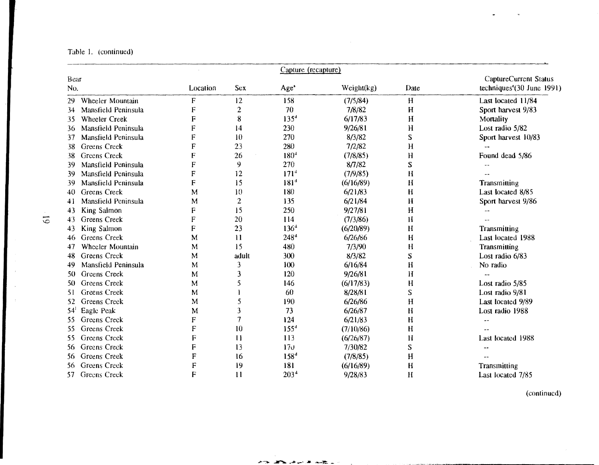Table I. (continued)

|                            |          |                           | Capture (recapture) |            |             |                              |
|----------------------------|----------|---------------------------|---------------------|------------|-------------|------------------------------|
| Bear                       |          |                           |                     |            |             | <b>CaptureCurrent Status</b> |
| No.                        | Location | <b>Sex</b>                | Age <sup>a</sup>    | Weight(kg) | Date        | techniques $(30$ June 1991)  |
| Wheeler Mountain<br>29     | F        | 12                        | 158                 | (7/5/84)   | H           | Last located 11/84           |
| Mansfield Peninsula<br>34  | F        | $\overline{c}$            | 70                  | 7/8/82     | H           | Sport harvest 9/83           |
| <b>Wheeler Creek</b><br>35 | F        | 8                         | 135 <sup>d</sup>    | 6/17/83    | $\mathbf H$ | Mortality                    |
| Mansfield Peninsula<br>36  | F        | $\mathbf{I}$              | 230                 | 9/26/81    | H           | Lost radio 5/82              |
| Mansfield Peninsula<br>37  | F        | 10                        | 270                 | 8/3/82     | S           | Sport harvest 10/83          |
| Greens Creek<br>38         | F        | 23                        | 280                 | 7/2/82     | H           |                              |
| Greens Creek<br>38         | F        | 26                        | 180 <sup>4</sup>    | (7/8/85)   | H           | Found dead 5/86              |
| 39<br>Mansfield Peninsula  | F        | 9                         | 270                 | 8/7/82     | S           |                              |
| Mansfield Peninsula<br>39  | F        | 12                        | 171 <sup>d</sup>    | (7/9/85)   | H           |                              |
| Mansfield Peninsula<br>-39 | F        | 15                        | 181 <sup>4</sup>    | (6/16/89)  | H           | Transmitting                 |
| <b>Greens Creek</b><br>40  | M        | 10                        | 180                 | 6/21/83    | $\mathbf H$ | Last located 8/85            |
| Mansfield Peninsula<br>41  | M        | $\mathbf{2}$              | 135                 | 6/21/84    | $\bf{H}$    | Sport harvest 9/86           |
| King Salmon<br>43          | F        | 15                        | 250                 | 9/27/81    | H           |                              |
| Greens Creek<br>43         | F        | 20                        | 114                 | (7/3/86)   | Ħ           |                              |
| King Salmon<br>43          | F        | 23                        | 136 <sup>d</sup>    | (6/20/89)  | H           | Transmitting                 |
| Greens Creek<br>46         | M        | 11                        | 248 <sup>4</sup>    | 6/26/86    | H           | Last located 1988            |
| Wheeler Mountain<br>47     | м        | 15                        | 480                 | 7/3/90     | H           | Transmitting                 |
| Greens Creek<br>48         | М        | adult                     | 300                 | 8/3/82     | S           | Lost radio 6/83              |
| Mansfield Peninsula<br>49  | M        | 3                         | 100                 | 6/16/84    | H           | No radio                     |
| <b>Greens</b> Creek<br>50  | М        | 3                         | 120                 | 9/26/81    | $\mathbf H$ |                              |
| Greens Creek<br>50         | M        | 5                         | 146                 | (6/17/83)  | H           | Lost radio 5/85              |
| Greens Creek<br>51         | M        |                           | 60                  | 8/28/81    | S           | Lost radio 9/81              |
| <b>Greens</b> Creek<br>52  | M        | 5                         | 190                 | 6/26/86    | H           | Last located 9/89            |
| Eagle Peak<br>54           | М        | 3                         | 73                  | 6/26/87    | H           | Lost radio 1988              |
| Greens Creek<br>55         | F        | $\overline{\overline{1}}$ | 124                 | 6/21/83    | H           |                              |
| Greens Creek<br>55         | F        | 10                        | 155 <sup>d</sup>    | (7/10/86)  | H           |                              |
| <b>Greens</b> Creek<br>55  | F        | 11                        | 113                 | (6/26/87)  | Ħ           | Last located 1988            |
| <b>Greens Creek</b><br>56  | F        | 13                        | 17 <sub>0</sub>     | 7/30/82    | S           |                              |
| Greens Creek<br>56         | F        | 16                        | 158 <sup>d</sup>    | (7/8/85)   | H           |                              |
| Greens Creek<br>56         | F        | 19                        | 181                 | (6/16/89)  | H           | Transmitting                 |
| Greens Creek<br>57         | F        | 11                        | 203 <sup>4</sup>    | 9/28/83    | $\bf{H}$    | Last located 7/85            |

**POLICE AND ARRIVERS** 

 $\sim$ 

(continued)

 $\bar{x}$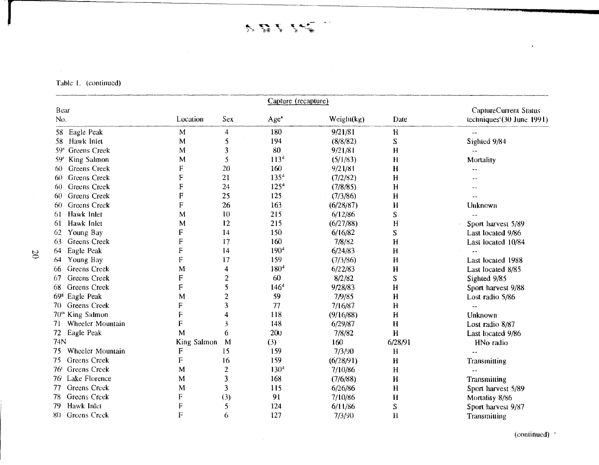Table 1. (continued)

|                                        |             |                | Capture (recapture) |            |             |                                        |
|----------------------------------------|-------------|----------------|---------------------|------------|-------------|----------------------------------------|
| Bear                                   |             |                |                     |            |             | <b>CaptureCurrent Status</b>           |
| No.                                    | Location    | Sex            | Age <sup>*</sup>    | Weight(kg) | Date        | techniques <sup>c</sup> (30 June 1991) |
| Eagle Peak<br>58.                      | M           | $\overline{4}$ | 180                 | 9/21/81    | H           |                                        |
| Hawk Inlet<br>58.                      | M           | 5              | 194                 | (8/8/82)   | ${\bf S}$   | Sighted 9/84                           |
| <b>Greens</b> Creek<br>59 <sup>°</sup> | M           | 3              | 80                  | 9/21/81    | H           |                                        |
| King Salmon<br>59 <sup>o</sup>         | М           | 5              | 113 <sup>d</sup>    | (5/1/83)   | H           | Mortality                              |
| Greens Creek<br>60.                    | F           | 20             | 160                 | 9/21/81    | $\mathbf H$ |                                        |
| <b>Greens Creek</b><br>60.             | F           | 21             | $135^{4}$           | (7/2/82)   | H           |                                        |
| Greens Creek<br>60                     | F           | 24             | 125 <sup>d</sup>    | (7/8/85)   | $\mathbf H$ |                                        |
| <b>Greens</b> Creek<br>60.             | F           | 25             | 125                 | (7/3/86)   | H           |                                        |
| <b>Greens Creek</b><br>60              | F           | 26             | 163                 | (6/28/87)  | H           | Unknown                                |
| Hawk Inlet<br>61.                      | M           | 10             | 215                 | 6/12/86    | ${\bf S}$   |                                        |
| Hawk Inlet<br>61                       | M           | 12             | 215                 | (6/27/88)  | H           | Sport harvest 5/89                     |
| Young Bay<br>62                        | F           | 14             | 150                 | 6/16/82    | S           | Last located 9/86                      |
| <b>Greens</b> Creek<br>63              | F           | 17             | 160                 | 7/8/82     | H           | Last located 10/84                     |
| Eagle Peak<br>64                       | ${\bf F}$   | 14             | 190 <sup>d</sup>    | 6/24/83    | H           |                                        |
| Young Bay<br>64                        | $\mathsf F$ | 17             | 159                 | (7/3/86)   | H           | Last located 1988                      |
| <b>Greens</b> Creek<br>66              | M           | 4              | 180 <sup>d</sup>    | 6/22/83    | H           | Last located 8/85                      |
| <b>Greens Creek</b><br>-67             | F           | $\overline{2}$ | 60                  | 8/2/82     | S           | Sighted 9/85                           |
| <b>Greens</b> Creek<br>68              | F           | 5              | 146 <sup>d</sup>    | 9/28/83    | H           | Sport harvest 9/88                     |
| 69 <sup>g</sup> Eagle Peak             | M           | $\overline{c}$ | 59                  | 7/9/85     | $\mathbf H$ | Lost radio 5/86                        |
| Greens Creek<br>70.                    | F           | 3              | 77                  | 7/16/87    | H           |                                        |
| 70 <sup>m</sup><br>King Salmon         | F           | 4              | 118                 | (9/16/88)  | H           | Unknown                                |
| Wheeler Mountain<br>71                 | F           | 3              | 148                 | 6/29/87    | H           | Lost radio 8/87                        |
| Eagle Peak<br>72                       | M           | 6              | 200                 | 7/8/82     | $\bf H$     | Last located 9/86                      |
| 74N                                    | King Salmon | M              | (3)                 | 160        | 6/28/91     | HNo radio                              |
| Wheeler Mountain<br>75                 | F           | 15             | 159                 | 7/3/90     | H           |                                        |
| <b>Greens</b> Creek<br>75              | F           | 16             | 159                 | (6/28/91)  | $\mathbf H$ | Transmitting                           |
| <b>Greens</b> Creek<br>76              | M           | $\overline{c}$ | 130 <sup>d</sup>    | 7/10/86    | $\mathbf H$ |                                        |
| Lake Florence<br>76'                   | M           | 3              | 168                 | (7/6/88)   | H           | Transmitting                           |
| <b>Greens</b> Creek<br>77              | M           | 3              | 115                 | 6/26/86    | $\mathbf H$ | Sport harvest 5/89                     |
| <b>Greens</b> Creek<br>78              | F           | (3)            | 91                  | 7/10/86    | H           | Mortality 8/86                         |
| Hawk Inlet<br>79                       | F           | 5              | 124                 | 6/11/86    | S           | Sport harvest 9/87                     |
| 80 Greens Creek                        | F           | 6              | 127                 | 7/3/90     | Н           | Transmitting                           |

 $\frac{1}{2}$  (continued)  $\frac{1}{2}$ 

 $\bar{\star}$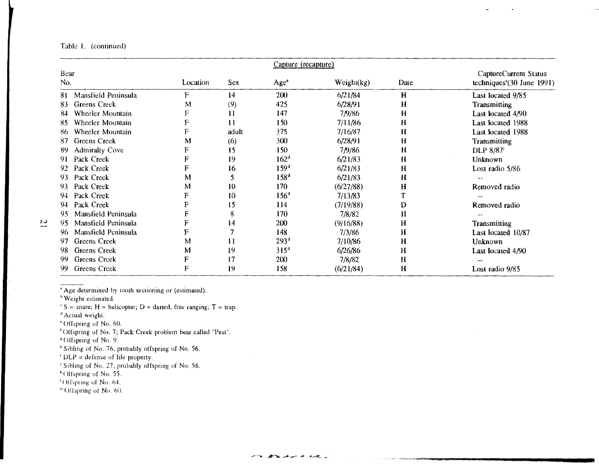## Table 1. (continued)

|                             |          |            | Capture (recapture) |            |             |                                                      |
|-----------------------------|----------|------------|---------------------|------------|-------------|------------------------------------------------------|
| Bear<br>No.                 | Location | <b>Sex</b> | Age <sup>a</sup>    | Weight(kg) | Date        | CaptureCurrent Status<br>techniques $(30$ June 1991) |
| Mansfield Peninsula<br>81.  | F        | 14         | 200                 | 6/21/84    | H           | Last located 9/85                                    |
| <b>Greens Creek</b><br>83   | M        | (9)        | 425                 | 6/28/91    | $\mathbf H$ | Transmitting                                         |
| Wheeler Mountain<br>84      |          | 11         | 147                 | 7/9/86     | H           | Last located 4/90                                    |
| Wheeler Mountain<br>85      |          | 11         | 150                 | 7/11/86    | H           | Last located 1988                                    |
| Wheeler Mountain<br>86      |          | adult      | 375                 | 7/16/87    | H           | Last located 1988                                    |
| Greens Creek<br>87          | м        | (6)        | 300                 | 6/28/91    | Н           | <b>Transmitting</b>                                  |
| <b>Admiralty Cove</b><br>89 |          | 15         | 150                 | 7/9/86     | H           | DLP 8/87 <sup>i</sup>                                |
| Pack Creek<br>91            |          | 19         | 162 <sup>d</sup>    | 6/21/83    | H           | <b>Unknown</b>                                       |
| Pack Creek<br>92            | F        | 16         | $159^{4}$           | 6/21/83    | H           | Lost radio 5/86                                      |
| Pack Creek<br>93            | М        |            | 158 <sup>d</sup>    | 6/21/83    | H           |                                                      |
| Pack Creek<br>93            | М        | 10         | 170                 | (6/27/88)  | H           | Removed radio                                        |
| Pack Creek<br>94            | F        | 10         | 156 <sup>d</sup>    | 7/13/83    |             |                                                      |
| Pack Creek<br>94            |          | 15         | 114                 | (7/19/88)  | D           | Removed radio                                        |
| Mansfield Peninsula<br>95   |          | 8          | 170                 | 7/8/82     | Н           |                                                      |
| Mansfield Peninsula<br>95   |          | 14         | 200                 | (9/16/88)  | Н           | <b>Transmitting</b>                                  |
| Mansfield Peninsula<br>96   | F        |            | 148                 | 7/3/86     | Н           | Last Iocated 10/87                                   |
| <b>Greens Creek</b><br>97   | M        | 11         | 293 <sup>d</sup>    | 7/10/86    | H           | <b>Unknown</b>                                       |
| Greens Creek<br>98          | М        | 19         | $315^{4}$           | 6/26/86    | H           | Last Iocated 4/90                                    |
| Greens Creek<br>99          |          | 17         | 200                 | 7/8/82     | H           |                                                      |
| <b>Greens Creek</b><br>99   | F        | 19         | 158                 | (6/21/84)  | H           | Lost radio 9/85                                      |

'Age determined by tooth sectioning or (estimated).

b Weight estimated.<br>  $S = \text{snare}$ ; H = helicopter; D = darted, free ranging; T = trap.

<sup>4</sup> Actual weight.

'Offspring of No. 60.

t Offspring of No. 7; Pack Creek problem bear called "Pest".

Offspring of No. 9.

h Sibling of No. 76, probably offspring of No. 56.

 $\text{DLP} = \text{defines of life property.}$ <br>I Sibling of No. 27, probably offspring of No. 56.

• Oft spring of No. 55.

 $<sup>1</sup>$  Offspring of No. 64.</sup>

"·Offspring of No. 60.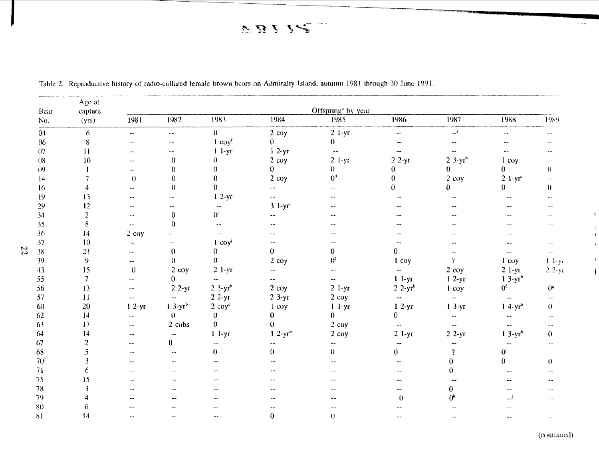FBII-C  $\sim$ 

| Bear            | Age at<br>capture |                            |                            |                          |                          | Offspring <sup>4</sup> by year |                          |                                            |                           |                          |
|-----------------|-------------------|----------------------------|----------------------------|--------------------------|--------------------------|--------------------------------|--------------------------|--------------------------------------------|---------------------------|--------------------------|
| No.             | (yrs)             | 1981                       | 1982                       | 1983                     | 1984                     | 1985                           | 1986                     | 1987                                       | 1988                      | 1989                     |
| 04              | 6                 | --                         | $\sim$ $-$                 | $\mathbf{0}$             | 2 coy                    | $2 \frac{1 - yr}{r}$           | $\frac{1}{2}$            | المسد                                      | $\sim$ $\sim$             | $\sim$ $\sim$            |
| 06              | $\bf 8$           | $\overline{\phantom{a}}$   | $\overline{\phantom{a}}$ . | $1$ coy <sup>f</sup>     | $\mathbf{0}$             | $\mathbf{0}$                   | $\sim$ $\sim$            | --                                         |                           |                          |
| 07              | 11                | -⊷                         |                            | $1 - 1 - yr$             | $12-yT$                  | $\omega_{\rm m}$               | $ -$                     | $\sim$ $\sim$                              | $\sim$ $\sim$             |                          |
| 08              | 10                | $\overline{\phantom{a}}$   | $\boldsymbol{0}$           | 0                        | $2$ coy                  | $21-yr$                        | $22-yr$                  | $2.3-yrb$                                  | $1 \cos$                  |                          |
| $09\,$          |                   |                            | 0                          | 0                        | $\mathbf{0}$             | $\theta$                       | $\theta$                 | $\theta$                                   | $\mathbf{0}$              | $\theta$                 |
| 14              |                   | $\bf{0}$                   | $\bf{0}$                   | 0                        | $2$ coy                  | 0 <sup>d</sup>                 | $\boldsymbol{0}$         | $2$ coy                                    | $21-yr^2$                 | $\sim$ $\sim$            |
| 16              | 4                 | $-$                        | $\mathbf{0}$               | $\theta$                 | --                       |                                | $\overline{0}$           | 0.                                         | $\theta$                  | $\bf{0}$                 |
| 19              | 13                | $\overline{\phantom{a}}$ . | --                         | $12-yr$                  | $\overline{\phantom{a}}$ |                                |                          | --                                         |                           | $\sim$ $-$               |
| 29              | 12                | --                         |                            |                          | $3$ $1-yr^3$             |                                |                          | $-$                                        |                           |                          |
| 34              | $\overline{2}$    | $\overline{\phantom{a}}$   | $\mathbf{0}$               | 0'                       |                          |                                |                          |                                            |                           |                          |
| 35              | 8                 | $\overline{\phantom{a}}$   | $\theta$                   | $\overline{a}$           |                          |                                |                          |                                            |                           |                          |
| 36              | $\mathbf{I}4$     | $2$ coy                    |                            | $\sim$                   |                          |                                |                          |                                            |                           |                          |
| 37              | 10                | --                         | $\overline{\phantom{a}}$ . | $1$ coy <sup>j</sup>     | --                       |                                | --                       | $-1$                                       |                           |                          |
| 22<br>38        | 23                | $\overline{\phantom{a}}$ . | $\bf{0}$                   | 0                        | $\overline{0}$           | $\bf{0}$                       | $\mathbf{0}$             | --                                         | --                        | $\sim$ $\sim$            |
| 39              | 9                 | $\mathbf{u}$ .             | $\theta$                   | $\theta$                 | $2$ coy                  | 0 <sup>t</sup>                 | 1 coy                    | $\overline{?}$                             | $1$ coy                   | $1 - 1 - yr$             |
| 43              | 15                | $\pmb{0}$                  | 2 coy                      | $2 1-yr$                 |                          |                                | $\frac{1}{2}$            | $2$ coy                                    | $2 1-yr$                  | $22-yr$                  |
| 55              | $\overline{7}$    | $\overline{a}$             | $\mathbf{0}$               | $\overline{\phantom{a}}$ | $\overline{\phantom{a}}$ | $\sim$ $\sim$                  | $11-yr$                  | $12-yr$                                    | $13-yr^b$                 |                          |
| 56              | 13                | $\omega =$                 | $22-yr$                    | $2 \frac{3}{y}$          | $2$ coy                  | $2 \frac{1 - yr}{r}$           | $22-yr^b$                | 1 coy                                      | 0 <sup>f</sup>            | $0^{\rm s}$              |
| 57              | $\mathbf{1}$      | $\sim$ $\sim$              | $\sim$ $\sim$              | $22-yr$                  | $23-yr$                  | $2$ coy                        | $\overline{a}$           | $\omega_{\rm esc}$                         | $-\frac{1}{2}$            | $\overline{\phantom{a}}$ |
| 60              | 20                | $12-yr$                    | $13-yrb$                   | $2 \cos^2$               | $1 \cos$                 | $1 - 1 - yr$                   | $12-yr$                  | $13-yr$                                    | 1 4- $yr^b$               | $\theta$                 |
| 62              | 4                 | $\overline{a}$             | $\theta$                   | 0                        | $\mathbf{0}$             | $\Omega$                       | $\theta$                 | $\overline{\phantom{a}}$<br>$\mathbb{R}^2$ | $\overline{a}$            | $\sim$ $-$               |
| 63              | 17                | $\overline{\phantom{a}}$   | 2 cubs                     | $\theta$                 | $\Omega$                 | $2$ coy                        | $\mathbb{Z}_m$           | $-$                                        | $-1$                      |                          |
| 64              | 14                | $\sim$ $-$                 | $\sim$ $\sim$              | $11-yr$                  | $12-yr^b$                | $2$ coy                        | $2 1-yr$                 | $22-yr$                                    | $13-yrb$                  | $\theta$                 |
| 67              | $\overline{a}$    | $\sim$ $\sim$              | $\boldsymbol{0}$           | $\overline{\phantom{a}}$ |                          |                                |                          |                                            |                           |                          |
| 68              | 5                 | --                         | $\ddotsc$                  | $\bf{0}$                 | $\mathbf{0}$             | $\Omega$                       | $\mathbf{0}$             | $\boldsymbol{?}$                           | $\mathbf{0}^{\mathbf{j}}$ | $\ddot{\phantom{a}}$     |
| 70 <sup>1</sup> | 3                 | $\overline{a}$             | $\sim$ $-$                 |                          |                          |                                |                          | $\theta$                                   | $\theta$                  | $\theta$                 |
| 71              | 6                 | $\overline{a}$             | $-1$                       |                          |                          |                                |                          | $\theta$                                   |                           |                          |
| 75              | 15                |                            |                            |                          |                          |                                |                          | $\overline{\phantom{m}}$                   |                           |                          |
| ${\bf 78}$      | 3                 | $-1$                       |                            |                          |                          |                                | $\overline{\phantom{a}}$ | $\bf{0}$                                   | $\sim$                    |                          |
| 79              |                   |                            |                            |                          |                          |                                | $\boldsymbol{0}$         | 0 <sup>h</sup>                             | لسه                       |                          |
| 80              |                   | $-$                        |                            |                          |                          |                                |                          |                                            |                           |                          |
| 81              | 14                | --                         | --                         | $\sim$ $\sim$            | $\mathbf{0}$             | $\theta$                       |                          |                                            |                           |                          |

Table 2. Reproductive history of radio-collared female brown bears on Admiralty Island, autumn 1981 through 30 June 1991.

**Incomediate** 

(continued)

 $\bar{\omega}$  is a

 $\mathbf{I}$ 

 $\mathbf{I}$ 

 $\mathbf{I}$  $\overline{1}$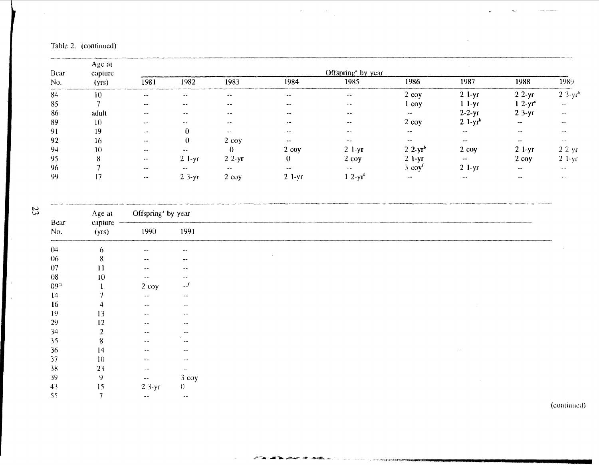# Table 2. (continued)

| Bear<br>No. | Age at<br>capture |               |          |            |          | Offspring <sup>*</sup> by year |                          |                        |                          |                            |
|-------------|-------------------|---------------|----------|------------|----------|--------------------------------|--------------------------|------------------------|--------------------------|----------------------------|
|             | (yrs)             | 1981          | 1982     | 1983       | 1984     | 1985                           | 1986                     | 1987                   | 1988                     | 1989                       |
| 84          | 10                | $-+$          | --       | $- -$      | --       | $- -$                          | $2$ coy                  | $21-yr$                | $22-yr$                  | $2 \frac{3}{Y}$            |
| 85          |                   | $-$           | $-1$     | $-$        |          | $\sim$                         | coy                      | $11-yr$                | $12-yr^2$                | $\sim$ $\sim$              |
| 86          | adult             | $-1$          | --       | --         | $-1$     |                                | $\sim$ $-$               | $2-2-yr$               | $23-yr$                  | $\cdots$                   |
| -89         | -10               | $- -$         | --       | $-$        | $- -$    | $-1$                           | $2$ coy                  | $2 \frac{1 - yr^2}{r}$ | $ -$                     | $\sim$ $\sim$              |
| 91          | 19                | $- -$         |          | $-1$       |          | --                             | $\overline{\phantom{a}}$ | $\sim$ $\sim$          | --                       |                            |
| 92          | 16                | $-$           | 0        | $2$ coy    | $-$      | --                             | $-$                      | --                     | $\overline{\phantom{a}}$ | $-$                        |
| 94          | 10                | $- -$         | --       |            | $2$ coy  | $2 \frac{\text{1-yr}}{2}$      | $2 \frac{2-yr^{b}}{2}$   | $2 \cos$               | $21-yr$                  | $22-yr$                    |
| 95          | 8                 | $\sim$ $-$    | $2$ l-yr | $22-yr$    | 0        | $2 \cos$                       | $2$ 1-yr                 | $\rightarrow$          | $2 \cos$                 | $2 \frac{1 - \gamma r}{r}$ |
| 96          |                   | $-+$          | $- -$    | $\sim$ $-$ | $\sim$   | $\cdots$                       | $3$ $00y'$               | $2 1-yr$               | men.                     | $-$                        |
| -99         | י                 | $\sim$ $\sim$ | $23-yr$  | $2$ coy    | $2 1-yr$ | $1 \, 2 - yr^2$                | $- -$                    | $-$                    | --                       | Morrison C                 |

 $\label{eq:2} \frac{1}{\sqrt{2}}\left(\frac{1}{\sqrt{2}}\right)^{2} \left(\frac{1}{\sqrt{2}}\right)^{2} \left(\frac{1}{\sqrt{2}}\right)^{2}$ 

 $\sim$ 

| 23 | Age at       | Offspring <sup>ª</sup> by year |               |                          |  |  |  |  |
|----|--------------|--------------------------------|---------------|--------------------------|--|--|--|--|
|    | Bear<br>No.  | capture<br>(yrs)               | 1990          | 1991                     |  |  |  |  |
|    | 04           | 6                              | $-1$          | $\sim$ $\sim$            |  |  |  |  |
|    | 06           | 8                              | $\sim$ $\sim$ | $\overline{\phantom{a}}$ |  |  |  |  |
|    | 07           | 11                             | $\cdots$      | $\sim$ $\sim$            |  |  |  |  |
|    | $08\,$       | $10\,$                         | $\sim$ $\sim$ | $\sim$ $-$               |  |  |  |  |
|    | $09^{\rm m}$ |                                | 2 coy         | $\mathbf{r}$             |  |  |  |  |
|    | $\mathbf{I}$ |                                | $\sim$ $-$    | $\overline{\phantom{a}}$ |  |  |  |  |
|    | 16           |                                | $\frac{1}{2}$ | $\sim$ $-$               |  |  |  |  |
|    | 19           | 13                             | $\frac{1}{2}$ | $\sim$ $\sim$            |  |  |  |  |
|    | 29           | 12                             | $\sim$ $-$    | $\sim$ $-$               |  |  |  |  |
|    | 34           | $\overline{2}$                 | $-$           | $\bullet$                |  |  |  |  |
|    | 35           | 8                              | $ \sim$       | $\sim$ $-$               |  |  |  |  |
|    | 36           | 14                             | $\sim$ $-$    | $-$                      |  |  |  |  |
|    | 37           | 10                             | $\sim$ $\sim$ | $\sim$ $\sim$            |  |  |  |  |
|    | 38           | 23                             | $\sim$ $\sim$ | $\blacksquare$           |  |  |  |  |
|    | 39           | 9                              | $\sim$ $\sim$ | $-3$ coy                 |  |  |  |  |
|    | 43           | 15                             | $23-yr$       | $\theta$                 |  |  |  |  |
|    | 55           | $\mathbf{r}$                   | $\sim$ $\sim$ | $\sim$ $\sim$            |  |  |  |  |

**CONTRACTOR** CONTRACTOR IN A REPORT OF THE RESIDENCE OF THE RESIDENCE OF THE RESIDENCE OF THE RESIDENCE OF THE RESIDENCE OF THE RESIDENCE OF THE RESIDENCE OF THE RESIDENCE OF THE RESIDENCE OF THE RESIDENCE OF THE RESIDENCE

(contiuuell)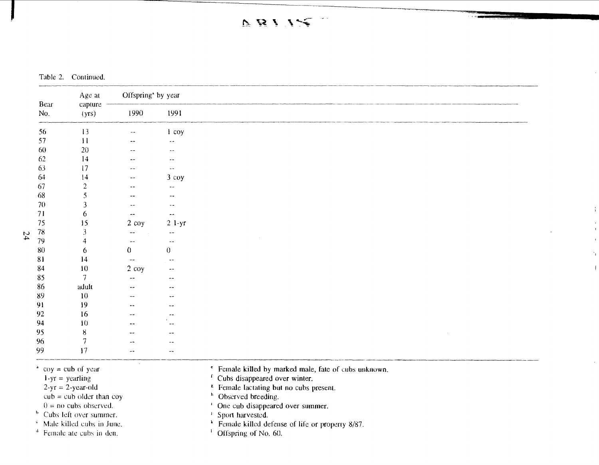$DBIIS$  $\sim$ 

Table 2. Continued.

|    |             | Age at                                              | Offspring <sup>ª</sup> by year |                          |                                                                                                     |
|----|-------------|-----------------------------------------------------|--------------------------------|--------------------------|-----------------------------------------------------------------------------------------------------|
|    | Bear<br>No. | capture<br>(yrs)                                    | 1990                           | 1991                     |                                                                                                     |
|    | 56          | 13                                                  | $-1$                           | 1 coy                    |                                                                                                     |
|    | 57          | $\overline{11}$                                     |                                | --                       |                                                                                                     |
|    | 60          | 20                                                  |                                | --                       |                                                                                                     |
|    | 62          | 14                                                  |                                |                          |                                                                                                     |
|    | 63          | 17                                                  |                                | $\overline{a}$           |                                                                                                     |
|    | 64          | 14                                                  | --                             | $3$ coy                  |                                                                                                     |
|    | 67          | $\overline{2}$                                      |                                | --                       |                                                                                                     |
|    | 68          | 5                                                   |                                | --                       |                                                                                                     |
|    | 70          | 3                                                   |                                | --                       |                                                                                                     |
|    | 71          | 6                                                   | --                             | $\overline{\phantom{a}}$ |                                                                                                     |
|    | 75          | 15                                                  | 2 coy                          | $2 l-yr$                 |                                                                                                     |
| 24 | $78\,$      | 3                                                   |                                | $\sim$ $\sim$            |                                                                                                     |
|    | 79          | 4                                                   | $\sim$ $-$                     | $\sim$ $\sim$            |                                                                                                     |
|    | 80          | 6                                                   | 0                              | $\overline{0}$           |                                                                                                     |
|    | 81          | 14                                                  | --                             | $\overline{\phantom{a}}$ |                                                                                                     |
|    | 84          | 10                                                  | $2$ coy                        |                          |                                                                                                     |
|    | 85          | $\overline{\phantom{a}}$                            |                                |                          |                                                                                                     |
|    | 86          | adult                                               |                                |                          |                                                                                                     |
|    | 89          | 10                                                  |                                |                          |                                                                                                     |
|    | 91          | 19                                                  | $\ddot{\phantom{a}}$           |                          |                                                                                                     |
|    | 92          | 16                                                  | $-$                            |                          |                                                                                                     |
|    | 94          | 10                                                  | $\ddot{\phantom{1}}$           |                          |                                                                                                     |
|    | 95          | $\bf 8$                                             |                                |                          |                                                                                                     |
|    | 96          | $\overline{\phantom{a}}$                            |                                |                          |                                                                                                     |
|    | 99          | 17                                                  | --                             |                          |                                                                                                     |
|    |             | $\degree$ coy = cub of year<br>$1-yr =$ yearling    | $\sim$                         |                          | * Female killed by marked male, fate of cubs unknown.<br><sup>f</sup> Cubs disappeared over winter. |
|    |             | $2-yr = 2-year-old$<br>$cub = cub$ older than $coy$ |                                |                          | <sup>8</sup> Female lactating but no cubs present.<br><sup>h</sup> Observed breeding.               |

 $\ddot{1}$ 

 $\mathbf{I}$ 

- <sup>b</sup> Cubs left over summer.<br><sup>c</sup> Male killed cubs in June.
- 
- $d$  Female ate cubs in den.
- $0 =$  no cubs observed. 1 One cub disappeared over summer.
	-
- Male killed cubs in June.  **Female killed defense of life or property 8/87.** 
	-

**Incomediate**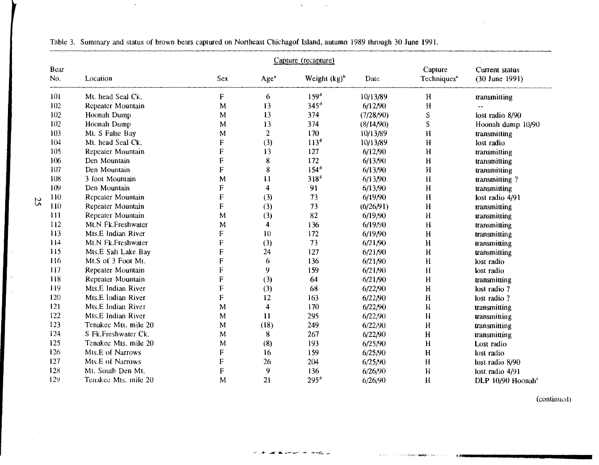|             |                      |             |                         | Capture (recapture) |           |                                    |                                    |
|-------------|----------------------|-------------|-------------------------|---------------------|-----------|------------------------------------|------------------------------------|
| Bear<br>No. | Location             | Sex         | Age <sup>®</sup>        | Weight $(kg)^b$     | Date      | Capture<br>Techniques <sup>c</sup> | Current status<br>$(30$ June 1991) |
| 101         | Mt. head Seal Ck.    | F           | 6                       | 159 <sup>d</sup>    | 10/13/89  | H                                  | transmitting                       |
| 102         | Repeater Mountain    | M           | 13                      | 345 <sup>d</sup>    | 6/12/90   | H                                  |                                    |
| 102         | Hoonah Dump          | M           | 13                      | 374                 | (7/28/90) | S                                  | lost radio 8/90                    |
| 102         | Hoonah Dump          | M           | 13                      | 374                 | (8/14/90) | S                                  | Hoonah dump 10/90                  |
| 103         | Mt. S False Bay      | M           | $\overline{2}$          | 170                 | 10/13/89  | H                                  | transmitting                       |
| 104         | Mt. head Seal Ck.    | F           | (3)                     | 113 <sup>d</sup>    | 10/13/89  | $\mathbf H$                        | lost radio                         |
| 105         | Repeater Mountain    | $\mathsf F$ | 13                      | 127                 | 6/12/90   | H                                  | transmitting                       |
| 106         | Den Mountain         | ${\bf F}$   | 8                       | 172                 | 6/13/90   | $\mathbf{H}$                       | transmitting                       |
| 107         | Den Mountain         | $\mathsf F$ | 8                       | 154 <sup>d</sup>    | 6/13/90   | $\mathbf{H}$                       | transmitting                       |
| 108         | 3 foot Mountain      | M           | 11                      | $318^d$             | 6/13/90   | H                                  | transmitting?                      |
| 109         | Den Mountain         | F           | $\overline{\mathbf{4}}$ | 91                  | 6/13/90   | H                                  | transmitting                       |
| 110         | Repeater Mountain    | F           | (3)                     | 73                  | 6/19/90   | H                                  | lost radio 4/91                    |
| 110         | Repeater Mountain    | F           | (3)                     | 73                  | (6/26/91) | H                                  | transmitting                       |
| 111         | Repeater Mountain    | M           | (3)                     | 82                  | 6/19/90   | $\bf{H}$                           | transmitting                       |
| 112         | Mt.N Fk.Freshwater   | M           | $\overline{\mathbf{4}}$ | 136                 | 6/19/90   | $\mathbf H$                        | transmitting                       |
| 113         | Mts.E Indian River   | F           | 10                      | 172                 | 6/19/90   | H                                  | transmitting                       |
| 114         | Mt.N Fk.Freshwater   | $\mathbf F$ | (3)                     | 73                  | 6/21/90   | $\mathbf H$                        | transmitting                       |
| 115         | Mts.E Salt Lake Bay  | $\mathbf F$ | 24                      | 127                 | 6/21/90   | $\mathbf H$                        | transmitting                       |
| 116         | Mt.S of 3 Foot Mt.   | $\mathbf F$ | 6                       | 136                 | 6/21/90   | H                                  | lost radio                         |
| 117         | Repeater Mountain    | $\mathbf F$ | 9                       | 159                 | 6/21/90   | $\mathbf H$                        | lost radio                         |
| 118         | Repeater Mountain    | $\mathbf F$ | (3)                     | 64                  | 6/21/90   | H                                  | transmitting                       |
| 119         | Mts.E Indian River   | ${\sf F}$   | (3)                     | 68                  | 6/22/90   | H                                  | lost radio ?                       |
| 120         | Mts.E Indian River   | F           | 12                      | 163                 | 6/22/90   | $\mathbf H$                        | lost radio?                        |
| 121         | Mts.E Indian River   | M           | $\overline{\mathbf{4}}$ | 170                 | 6/22/90   | $\mathbf H$                        | transmitting                       |
| 122         | Mts.E Indian River   | M           | 11                      | 295                 | 6/22/90   | $\mathbf H$                        | transmitting                       |
| 123         | Tenakee Mts. mile 20 | M           | (18)                    | 249                 | 6/22/90   | H                                  | transmitting                       |
| 124         | S Fk. Freshwater Ck. | M           | 8                       | 267                 | 6/22/90   | H                                  | transmitting                       |
| 125         | Tenakee Mts. mile 20 | M           | (8)                     | 193                 | 6/25/90   | H                                  | Lost radio                         |
| 126         | Mts.E of Narrows     | F           | 16                      | 159                 | 6/25/90   | $\overline{\mathbf{H}}$            | lost radio                         |
| 127         | Mts.E of Narrows     | F           | 26                      | 204                 | 6/25/90   | H                                  | lost radio 8/90                    |
| 128         | Mt. South Den Mt.    | F           | 9                       | 136                 | 6/26/90   | H                                  | lost radio 4/91                    |
| 129         | Tenakee Mts. mile 20 | M           | 21                      | $295^4$             | 6/26/90   | $\mathbf H$                        | DLP 10/90 Hoonah <sup>e</sup>      |

سابيهم والمستحدها والمنافر

**The Contract Competition** 

 $\sim$ 

Table 3. Summary and status of brown bears captured on Northeast Chichagof Island, autumn 1989 through 30 June 1991.

 $\bar{\star}$ 

 $\sim$ 

(continued)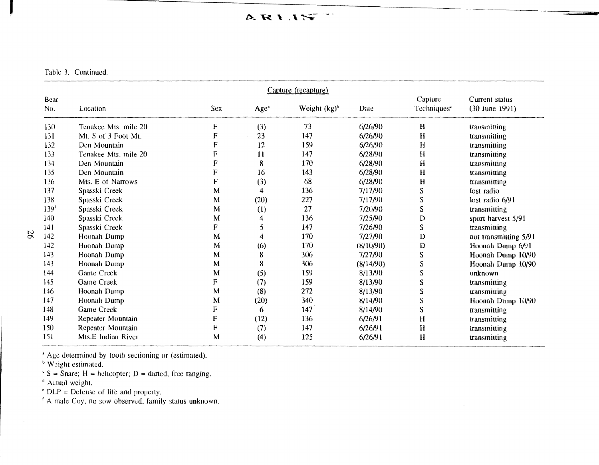ARIST

Table 3. Continued.

|                        |                      |     |                  | Capture (recapture) |           |                                    |                                    |
|------------------------|----------------------|-----|------------------|---------------------|-----------|------------------------------------|------------------------------------|
| Bear<br>N <sub>0</sub> | Location             | Sex | Age <sup>a</sup> | Weight $(kg)^b$     | Date      | Capture<br>Techniques <sup>e</sup> | Current status<br>$(30$ June 1991) |
| 130                    | Tenakee Mts. mile 20 | F   | (3)              | 73                  | 6/26/90   | H                                  | transmitting                       |
| 131                    | Mt. S of 3 Foot Mt.  | F   | 23               | 147                 | 6/26/90   | H                                  | transmitting                       |
| 132                    | Den Mountain         | F   | 12               | 159                 | 6/26/90   | H                                  | transmitting                       |
| 133                    | Tenakee Mts. mile 20 | F   | 11               | 147                 | 6/28/90   | H                                  | transmitting                       |
| 134                    | Den Mountain         | F   | 8                | 170                 | 6/28/90   | H                                  | transmitting                       |
| 135                    | Den Mountain         | F   | 16               | 143                 | 6/28/90   | H                                  | transmitting                       |
| 136                    | Mts. E of Narrows    | F   | (3)              | 68                  | 6/28/90   | H                                  | transmitting                       |
| 137                    | Spasski Creek        | M   | 4                | 136                 | 7/17/90   | S                                  | lost radio                         |
| 138                    | Spasski Creek        | М   | (20)             | 227                 | 7/17/90   | S                                  | lost radio 6/91                    |
| 139 <sup>f</sup>       | Spasski Creek        | M   | (1)              | 27                  | 7/20/90   | S                                  | transmitting                       |
| 140                    | Spasski Creek        | M   | 4                | 136                 | 7/25/90   | D                                  | sport harvest 5/91                 |
| 141                    | Spasski Creek        | F   | 5                | 147                 | 7/26/90   | S                                  | transmitting                       |
| 142                    | Hoonah Dump          | М   | 4                | 170                 | 7/27/90   | D                                  | not transmitting 5/91              |
| 142                    | Hoonah Dump          | M   | (6)              | 170                 | (8/10/90) | D                                  | Hoonah Dump 6/91                   |
| 143                    | Hoonah Dump          | M   | 8                | 306                 | 7/27/90   | S                                  | Hoonah Dump 10/90                  |
| 143                    | Hoonah Dump          | М   | 8                | 306                 | (8/14/90) | S                                  | Hoonah Dump 10/90                  |
| 144                    | Game Creek           | M   | (5)              | 159                 | 8/13/90   | S                                  | unknown                            |
| 145                    | Game Creek           | F   | (7)              | 159                 | 8/13/90   | S                                  | transmitting                       |
| 146                    | Hoonah Dump          | M   | (8)              | 272                 | 8/13/90   | S                                  | transmitting                       |
| 147                    | Hoonah Dump          | M   | (20)             | 340                 | 8/14/90   | S                                  | Hoonah Dump 10/90                  |
| 148                    | Game Creek           | F   | 6.               | 147                 | 8/14/90   | S                                  | transmitting                       |
| 149                    | Repeater Mountain    | F   | (12)             | 136                 | 6/26/91   | H                                  | transmitting                       |
| 150                    | Repeater Mountain    | F   | (7)              | 147                 | 6/26/91   | H                                  | transmitting                       |
| 151                    | Mts.E Indian River   | M   | (4)              | 125                 | 6/26/91   | H                                  | transmitting                       |

<sup>a</sup> Age determined by tooth sectioning or (estimated).

<sup>b</sup> Weight estimated.

 $S =$ Snare; H = helicopter; D = darted, free ranging.

<sup>d</sup> Actual weight.

' DLP *=*Defense of life and property.

<sup>1</sup> A male Coy, no sow observed, family status unknown.

J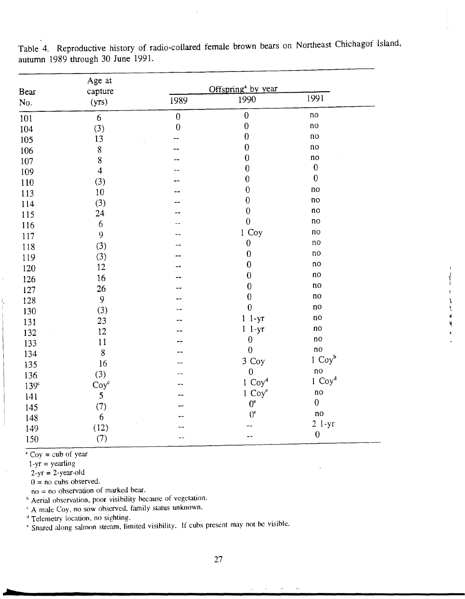| Bear             | Age at<br>capture<br>(yrs) | Offspring <sup>ª</sup> by year |                  |                  |  |
|------------------|----------------------------|--------------------------------|------------------|------------------|--|
| No.              |                            | 1989                           | 1990             | 1991             |  |
| 101              | $\boldsymbol{6}$           | $\mathbf{0}$                   | $\boldsymbol{0}$ | $\overline{10}$  |  |
| 104              | (3)                        | $\boldsymbol{0}$               | $\boldsymbol{0}$ | no               |  |
| 105              | 13                         |                                | $\mathbf 0$      | $\overline{10}$  |  |
| 106              | $\, 8$                     |                                | $\boldsymbol{0}$ | ПO               |  |
| 107              | 8                          |                                | $\boldsymbol{0}$ | $\mathsf{no}$    |  |
| 109              | $\overline{\mathbf{4}}$    |                                | $\boldsymbol{0}$ | $\boldsymbol{0}$ |  |
| 110              | (3)                        |                                | $\boldsymbol{0}$ | $\boldsymbol{0}$ |  |
| 113              | 10                         |                                | $\boldsymbol{0}$ | no               |  |
| 114              | (3)                        |                                | $\boldsymbol{0}$ | no               |  |
| 115              | 24                         |                                | $\boldsymbol{0}$ | no               |  |
| 116              | $\boldsymbol{6}$           |                                | $\boldsymbol{0}$ | $\overline{10}$  |  |
| 117              | 9                          |                                | 1 Coy            | $\overline{R}$   |  |
| 118              | (3)                        |                                | $\boldsymbol{0}$ | no               |  |
| 119              | (3)                        |                                | $\boldsymbol{0}$ | $\overline{10}$  |  |
| 120              | 12                         |                                | $\boldsymbol{0}$ | no               |  |
| 126              | 16                         |                                | $\boldsymbol{0}$ | no               |  |
| 127              | 26                         |                                | $\boldsymbol{0}$ | $\overline{10}$  |  |
| 128              | 9                          |                                | $\boldsymbol{0}$ | no               |  |
| 130              | (3)                        |                                | $\mathbf 0$      | n <sub>0</sub>   |  |
| 131              | 23                         |                                | $1 \t1-yr$       | $\overline{10}$  |  |
| 132              | 12                         |                                | $1 - yr$         | no               |  |
| 133              | 11                         |                                | $\boldsymbol{0}$ | no               |  |
| 134              | 8                          |                                | $\boldsymbol{0}$ | no               |  |
| 135              | 16                         |                                | 3 Coy            | $1 \text{Coy}^b$ |  |
| 136              | (3)                        |                                | $\boldsymbol{0}$ | no               |  |
| 139 <sup>c</sup> | $Coy^c$                    |                                | $1 \text{Coy}^4$ | $1 \text{Coy}^4$ |  |
| 141              | 5                          |                                | $1 \text{Coy}^e$ | no               |  |
| 145              | (7)                        |                                | $0^{\circ}$      | $\boldsymbol{0}$ |  |
| 148              | $\epsilon$                 |                                | $0^{\circ}$      | no               |  |
| 149              | (12)                       |                                |                  | $21-yr$          |  |
| 150              | (7)                        |                                |                  | $\boldsymbol{0}$ |  |

Table 4. Reproductive history of radio-collared female brown bears on Northeast Chichagof Island, autumn 1989 through 30 June 1991.

 $\sqrt{2}$  Coy = cub of year

 $1-yr = \text{yearling}$ 

 $2-yr = 2-year-old$ 

 $0 =$  no cubs observed.

 $no = no$  observation of marked bear.

b Aerial observation, poor visibility because of vegetation.

A male Coy, no sow observed, family status unknown.

<sup>d</sup> Telemetry location, no sighting.

e Snared along salmon stream, limited visibility. If cubs present may not be visible.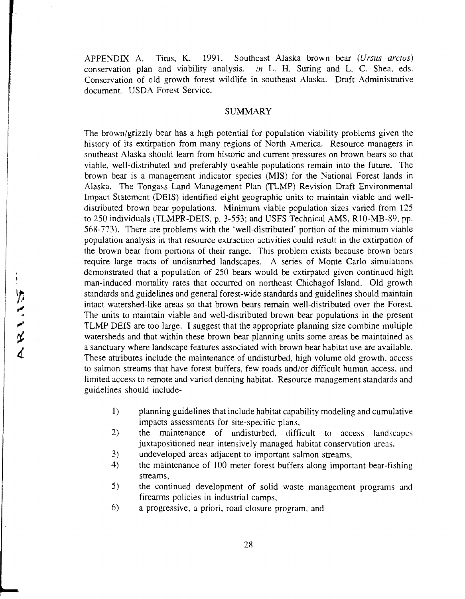APPENDIX A. Titus, K. 1991. Southeast Alaska brown bear *(Ursus arctos)*  conservation plan and viability analysis. *in* L H. Suring and L. C. Shea, eds. Conservation of old growth forest wildlife in southeast Alaska. Draft Administrative document. USDA Forest Service.

#### SUMMARY

The brown/grizzly bear has a high potential for population viability problems given the history of its extirpation from many regions of North America. Resource managers in southeast Alaska should learn from historic and current pressures on brown bears so that viable, well-distributed and preferably useable populations remain into the future. The brown bear is a management indicator species (MIS) for the National Forest lands in Alaska. The Tongass Land Management Plan (TLMP) Revision Draft Environmental Impact Statement (DEIS) identified eight geographic units to maintain viable and welldistributed brown bear populations. Minimum viable population sizes varied from 125 to 250 individuals (TLMPR-DEIS, p. 3-553; and USFS Technical AMS, RlO-MB-89, pp. 568-773). There are problems with the 'well-distributed' portion of the minimum viable population analysis in that resource extraction activities could result in the extirpation of the brown bear from portions of their range. This problem exists because brown bears require large tracts of undisturbed landscapes. A series of Monte Carlo simuiations demonstrated that a population of 250 bears would be extirpated given continued high man-induced mortality rates that occurred on northeast Chichagof Island. Old growth standards and guidelines and general forest-wide standards and guidelines should maintain intact watershed-like areas so that brown bears remain well-distributed over the Forest. The units to maintain viable and well-distributed brown bear populations in the present TLMP DEIS are too large. I suggest that the appropriate planning size combine multiple watersheds and that within these brown bear planning units some areas be maintained as a sanctuary where landscape features associated with brown bear habitat use are available. These attributes include the maintenance of undisturbed, high volume old growth, access to salmon streams that have forest buffers, few roads and/or difficult human access. and limited access to remote and varied denning habitat. Resource management standards and guidelines should include-

- 1) planning guidelines that include habitat capability modeling and cumulative impacts assessments for site-specific plans,
- 2) the maintenance of undisturbed, difficult to access landscapes juxtapositioned near intensively managed habitat conservation areas,
- 3) undeveloped areas adjacent to important salmon streams,
- 4) the maintenance of 100 meter forest buffers along important bear-fishing streams,
- 5) the continued development of solid waste management programs and firearms policies in industrial camps,
- 6) a progressive, a priori, road closure program, and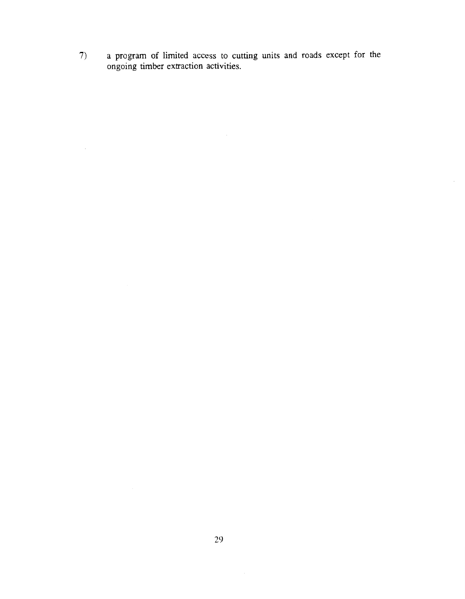a program of limited access to cutting units and roads except for the ongoing timber extraction activities.  $7)$